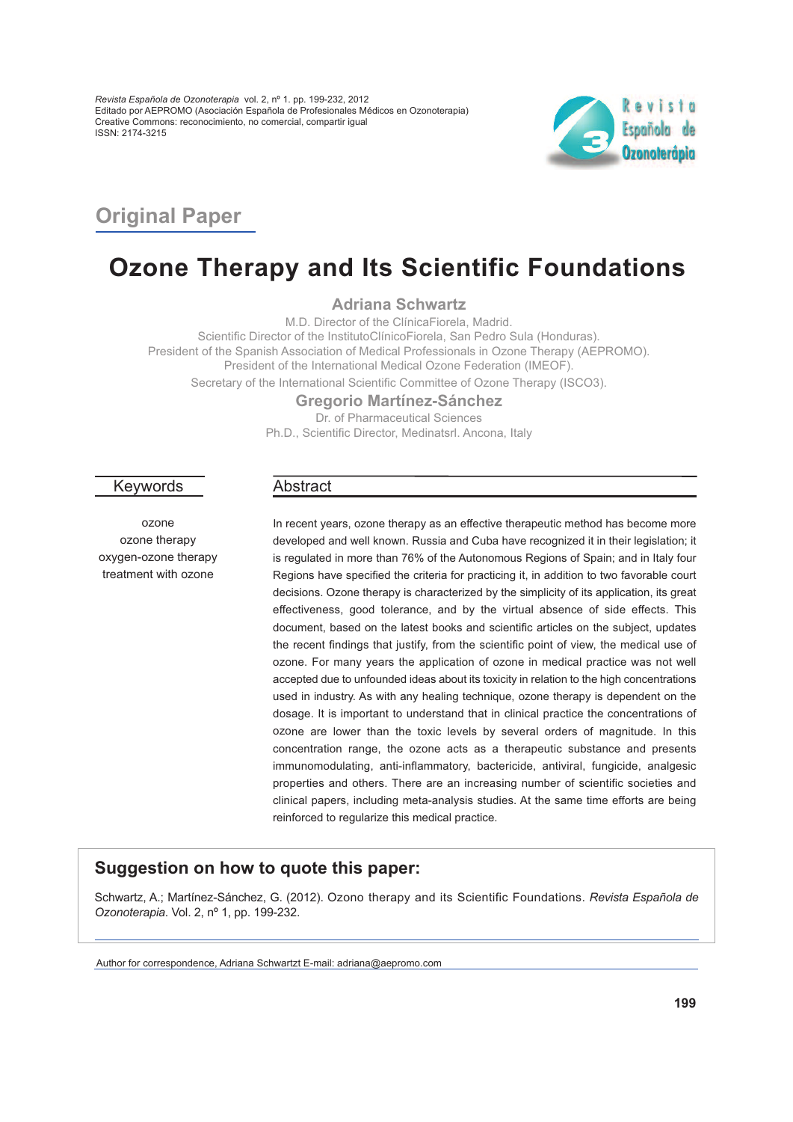*Revista Española de Ozonoterapia* vol. 2, nº 1. pp. 199-232, 2012 Editado por AEPROMO (Asociación Española de Profesionales Médicos en Ozonoterapia) Creative Commons: reconocimiento, no comercial, compartir igual ISSN: 2174-3215



## **Original Paper**

# **Ozone Therapy and Its Scientific Foundations**

**Adriana Schwartz**

M.D. Director of the ClínicaFiorela, Madrid. Scientific Director of the InstitutoClínicoFiorela, San Pedro Sula (Honduras). President of the Spanish Association of Medical Professionals in Ozone Therapy (AEPROMO). President of the International Medical Ozone Federation (IMEOF). Secretary of the International Scientific Committee of Ozone Therapy (ISCO3).

> **Gregorio Martínez-Sánchez** Dr. of Pharmaceutical Sciences

Ph.D., Scientific Director, Medinatsrl. Ancona, Italy

#### Keywords

ozone ozone therapy oxygen-ozone therapy treatment with ozone

## Abstract

In recent years, ozone therapy as an effective therapeutic method has become more developed and well known. Russia and Cuba have recognized it in their legislation; it is regulated in more than 76% of the Autonomous Regions of Spain; and in Italy four Regions have specified the criteria for practicing it, in addition to two favorable court decisions. Ozone therapy is characterized by the simplicity of its application, its great effectiveness, good tolerance, and by the virtual absence of side effects. This document, based on the latest books and scientific articles on the subject, updates the recent findings that justify, from the scientific point of view, the medical use of ozone. For many years the application of ozone in medical practice was not well accepted due to unfounded ideas about its toxicity in relation to the high concentrations used in industry. As with any healing technique, ozone therapy is dependent on the dosage. It is important to understand that in clinical practice the concentrations of ozone are lower than the toxic levels by several orders of magnitude. In this concentration range, the ozone acts as <sup>a</sup> therapeutic substance and presents immunomodulating, anti-inflammatory, bactericide, antiviral, fungicide, analgesic properties and others. There are an increasing number of scientific societies and clinical papers, including meta-analysis studies. At the same time efforts are being reinforced to regularize this medical practice.

## **Suggestion on how to quote this paper:**

Schwartz, A.; Martínez-Sánchez, G. (2012). Ozono therapy and its Scientific Foundations. *Revista Española de Ozonoterapia*. Vol. 2, nº 1, pp. 199-232.

Author for correspondence, Adriana Schwartzt E-mail: adriana@aepromo.com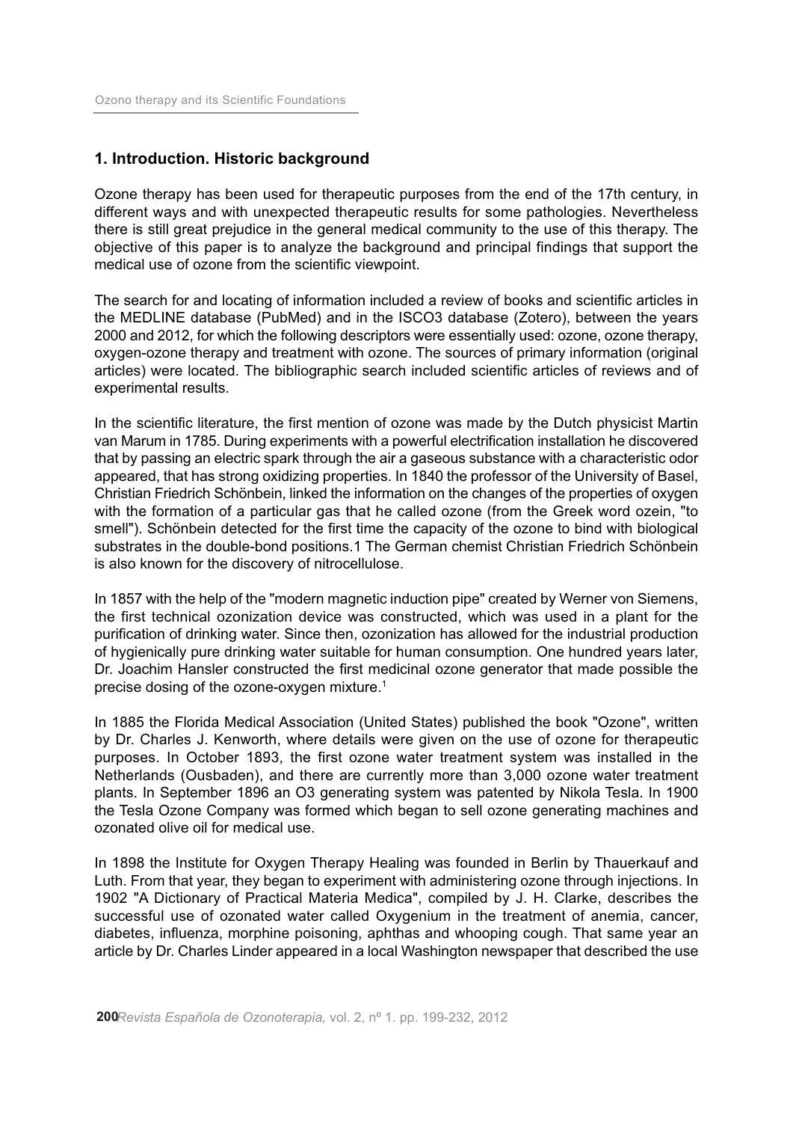## **1. Introduction. Historic background**

Ozone therapy has been used for therapeutic purposes from the end of the 17th century, in different ways and with unexpected therapeutic results for some pathologies. Nevertheless there is still great prejudice in the general medical community to the use of this therapy. The objective of this paper is to analyze the background and principal findings that support the medical use of ozone from the scientific viewpoint.

The search for and locating of information included a review of books and scientific articles in the MEDLINE database (PubMed) and in the ISCO3 database (Zotero), between the years 2000 and 2012, for which the following descriptors were essentially used: ozone, ozone therapy, oxygen-ozone therapy and treatment with ozone. The sources of primary information (original articles) were located. The bibliographic search included scientific articles of reviews and of experimental results.

In the scientific literature, the first mention of ozone was made by the Dutch physicist Martin van Marum in 1785. During experiments with a powerful electrification installation he discovered that by passing an electric spark through the air a gaseous substance with a characteristic odor appeared, that has strong oxidizing properties. In 1840 the professor of the University of Basel, Christian Friedrich Schönbein, linked the information on the changes of the properties of oxygen with the formation of a particular gas that he called ozone (from the Greek word ozein, "to smell"). Schönbein detected for the first time the capacity of the ozone to bind with biological substrates in the double-bond positions.1 The German chemist Christian Friedrich Schönbein is also known for the discovery of nitrocellulose.

In 1857 with the help of the "modern magnetic induction pipe" created by Werner von Siemens, the first technical ozonization device was constructed, which was used in a plant for the purification of drinking water. Since then, ozonization has allowed for the industrial production of hygienically pure drinking water suitable for human consumption. One hundred years later, Dr. Joachim Hansler constructed the first medicinal ozone generator that made possible the precise dosing of the ozone-oxygen mixture. 1

In 1885 the Florida Medical Association (United States) published the book "Ozone", written by Dr. Charles J. Kenworth, where details were given on the use of ozone for therapeutic purposes. In October 1893, the first ozone water treatment system was installed in the Netherlands (Ousbaden), and there are currently more than 3,000 ozone water treatment plants. In September 1896 an O3 generating system was patented by Nikola Tesla. In 1900 the Tesla Ozone Company was formed which began to sell ozone generating machines and ozonated olive oil for medical use.

In 1898 the Institute for Oxygen Therapy Healing was founded in Berlin by Thauerkauf and Luth. From that year, they began to experiment with administering ozone through injections. In 1902 "A Dictionary of Practical Materia Medica", compiled by J. H. Clarke, describes the successful use of ozonated water called Oxygenium in the treatment of anemia, cancer, diabetes, influenza, morphine poisoning, aphthas and whooping cough. That same year an article by Dr. Charles Linder appeared in a local Washington newspaper that described the use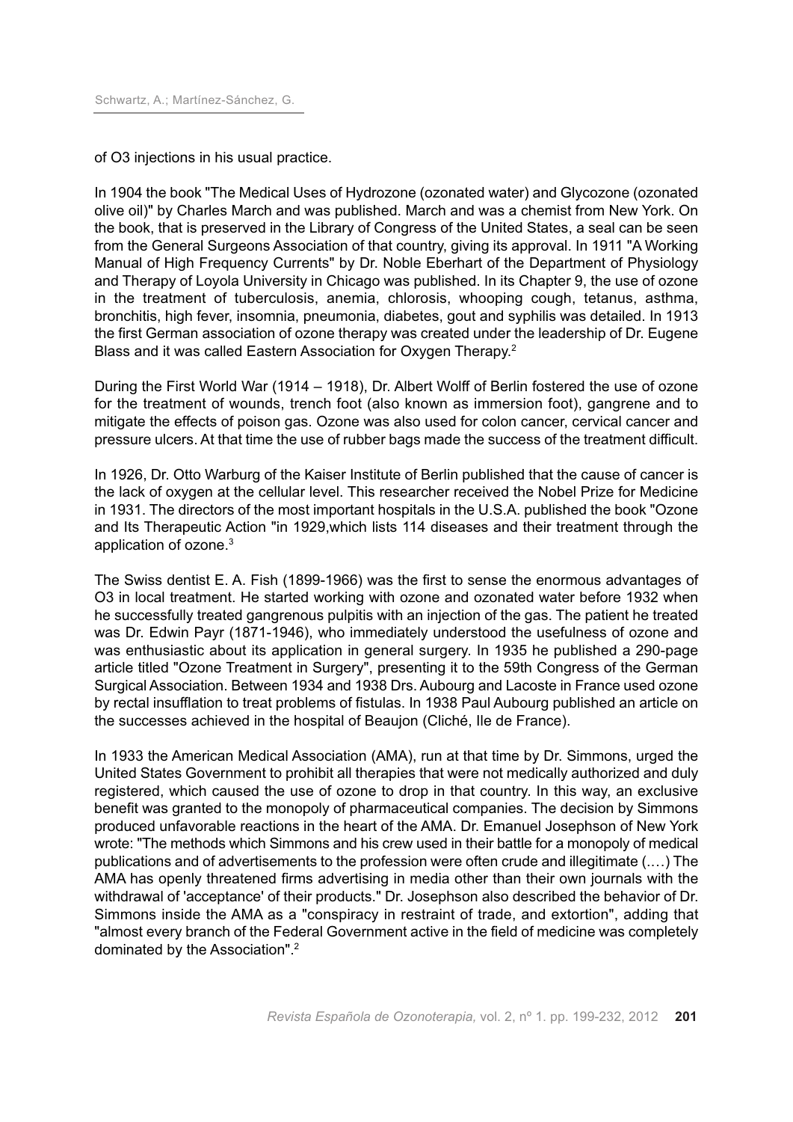of O3 injections in his usual practice.

In 1904 the book "The Medical Uses of Hydrozone (ozonated water) and Glycozone (ozonated olive oil)" by Charles March and was published. March and was a chemist from New York. On the book, that is preserved in the Library of Congress of the United States, a seal can be seen from the General Surgeons Association of that country, giving its approval. In 1911 "A Working Manual of High Frequency Currents" by Dr. Noble Eberhart of the Department of Physiology and Therapy of Loyola University in Chicago was published. In its Chapter 9, the use of ozone in the treatment of tuberculosis, anemia, chlorosis, whooping cough, tetanus, asthma, bronchitis, high fever, insomnia, pneumonia, diabetes, gout and syphilis was detailed. In 1913 the first German association of ozone therapy was created under the leadership of Dr. Eugene Blass and it was called Eastern Association for Oxygen Therapy. 2

During the First World War (1914 – 1918), Dr. Albert Wolff of Berlin fostered the use of ozone for the treatment of wounds, trench foot (also known as immersion foot), gangrene and to mitigate the effects of poison gas. Ozone was also used for colon cancer, cervical cancer and pressure ulcers. At that time the use of rubber bags made the success of the treatment difficult.

In 1926, Dr. Otto Warburg of the Kaiser Institute of Berlin published that the cause of cancer is the lack of oxygen at the cellular level. This researcher received the Nobel Prize for Medicine in 1931. The directors of the most important hospitals in the U.S.A. published the book "Ozone and Its Therapeutic Action "in 1929,which lists 114 diseases and their treatment through the application of ozone. 3

The Swiss dentist E. A. Fish (1899-1966) was the first to sense the enormous advantages of O3 in local treatment. He started working with ozone and ozonated water before 1932 when he successfully treated gangrenous pulpitis with an injection of the gas. The patient he treated was Dr. Edwin Payr (1871-1946), who immediately understood the usefulness of ozone and was enthusiastic about its application in general surgery. In 1935 he published a 290-page article titled "Ozone Treatment in Surgery", presenting it to the 59th Congress of the German Surgical Association. Between 1934 and 1938 Drs. Aubourg and Lacoste in France used ozone by rectal insufflation to treat problems of fistulas. In 1938 Paul Aubourg published an article on the successes achieved in the hospital of Beaujon (Cliché, Ile de France).

In 1933 the American Medical Association (AMA), run at that time by Dr. Simmons, urged the United States Government to prohibit all therapies that were not medically authorized and duly registered, which caused the use of ozone to drop in that country. In this way, an exclusive benefit was granted to the monopoly of pharmaceutical companies. The decision by Simmons produced unfavorable reactions in the heart of the AMA. Dr. Emanuel Josephson of New York wrote: "The methods which Simmons and his crew used in their battle for a monopoly of medical publications and of advertisements to the profession were often crude and illegitimate (.…) The AMA has openly threatened firms advertising in media other than their own journals with the withdrawal of 'acceptance' of their products." Dr. Josephson also described the behavior of Dr. Simmons inside the AMA as a "conspiracy in restraint of trade, and extortion", adding that "almost every branch of the Federal Government active in the field of medicine was completely dominated by the Association". 2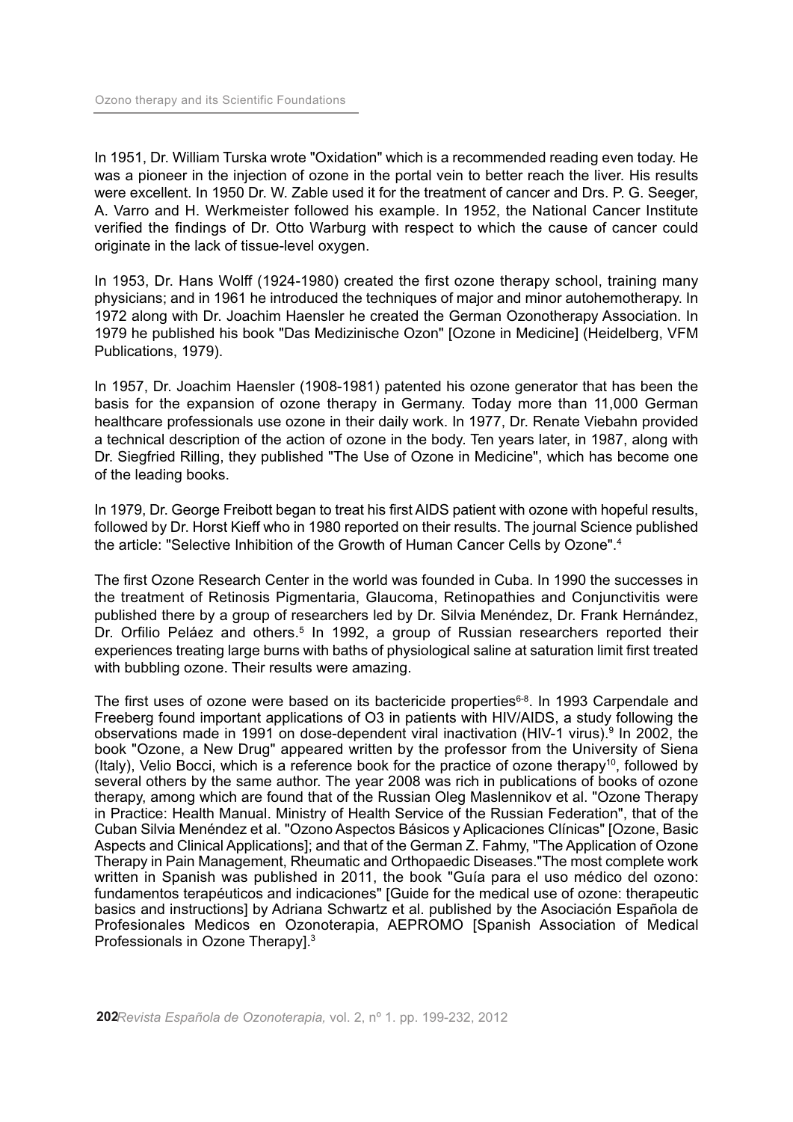In 1951, Dr. William Turska wrote "Oxidation" which is a recommended reading even today. He was a pioneer in the injection of ozone in the portal vein to better reach the liver. His results were excellent. In 1950 Dr. W. Zable used it for the treatment of cancer and Drs. P. G. Seeger, A. Varro and H. Werkmeister followed his example. In 1952, the National Cancer Institute verified the findings of Dr. Otto Warburg with respect to which the cause of cancer could originate in the lack of tissue-level oxygen.

In 1953, Dr. Hans Wolff (1924-1980) created the first ozone therapy school, training many physicians; and in 1961 he introduced the techniques of major and minor autohemotherapy. In 1972 along with Dr. Joachim Haensler he created the German Ozonotherapy Association. In 1979 he published his book "Das Medizinische Ozon" [Ozone in Medicine] (Heidelberg, VFM Publications, 1979).

In 1957, Dr. Joachim Haensler (1908-1981) patented his ozone generator that has been the basis for the expansion of ozone therapy in Germany. Today more than 11,000 German healthcare professionals use ozone in their daily work. In 1977, Dr. Renate Viebahn provided a technical description of the action of ozone in the body. Ten years later, in 1987, along with Dr. Siegfried Rilling, they published "The Use of Ozone in Medicine", which has become one of the leading books.

In 1979, Dr. George Freibott began to treat his first AIDS patient with ozone with hopeful results, followed by Dr. Horst Kieff who in 1980 reported on their results. The journal Science published the article: "Selective Inhibition of the Growth of Human Cancer Cells by Ozone". 4

The first Ozone Research Center in the world was founded in Cuba. In 1990 the successes in the treatment of Retinosis Pigmentaria, Glaucoma, Retinopathies and Conjunctivitis were published there by a group of researchers led by Dr. Silvia Menéndez, Dr. Frank Hernández, Dr. Orfilio Peláez and others.<sup>5</sup> In 1992, a group of Russian researchers reported their experiences treating large burns with baths of physiological saline at saturation limit first treated with bubbling ozone. Their results were amazing.

The first uses of ozone were based on its bactericide properties<sup>6-8</sup>. In 1993 Carpendale and Freeberg found important applications of O3 in patients with HIV/AIDS, a study following the observations made in 1991 on dose-dependent viral inactivation (HIV-1 virus). <sup>9</sup> In 2002, the book "Ozone, a New Drug" appeared written by the professor from the University of Siena (Italy), Velio Bocci, which is a reference book for the practice of ozone therapy<sup>10</sup>, followed by several others by the same author. The year 2008 was rich in publications of books of ozone therapy, among which are found that of the Russian Oleg Maslennikov et al. "Ozone Therapy in Practice: Health Manual. Ministry of Health Service of the Russian Federation", that of the Cuban Silvia Menéndez et al. "Ozono Aspectos Básicos y Aplicaciones Clínicas" [Ozone, Basic Aspects and Clinical Applications]; and that of the German Z. Fahmy, "The Application of Ozone Therapy in Pain Management, Rheumatic and Orthopaedic Diseases."The most complete work written in Spanish was published in 2011, the book "Guía para el uso médico del ozono: fundamentos terapéuticos and indicaciones" [Guide for the medical use of ozone: therapeutic basics and instructions] by Adriana Schwartz et al. published by the Asociación Española de Profesionales Medicos en Ozonoterapia, AEPROMO [Spanish Association of Medical Professionals in Ozone Therapy].<sup>3</sup>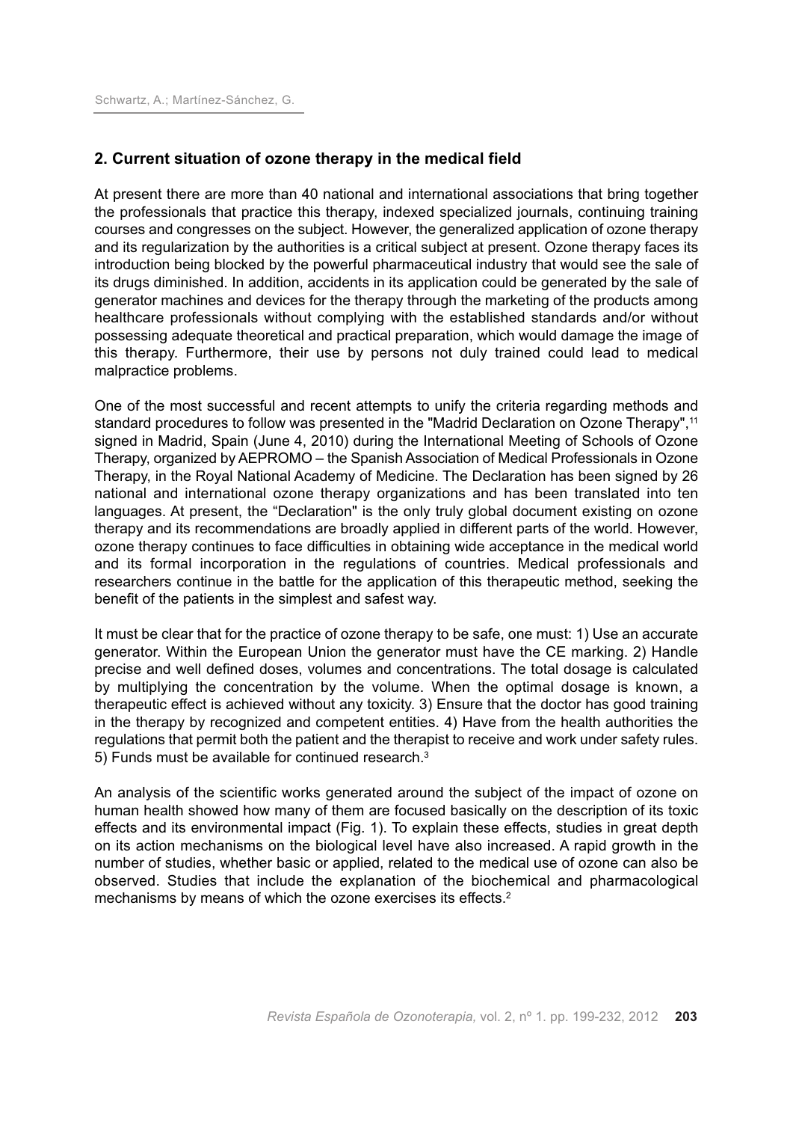## **2. Current situation of ozone therapy in the medical field**

At present there are more than 40 national and international associations that bring together the professionals that practice this therapy, indexed specialized journals, continuing training courses and congresses on the subject. However, the generalized application of ozone therapy and its regularization by the authorities is a critical subject at present. Ozone therapy faces its introduction being blocked by the powerful pharmaceutical industry that would see the sale of its drugs diminished. In addition, accidents in its application could be generated by the sale of generator machines and devices for the therapy through the marketing of the products among healthcare professionals without complying with the established standards and/or without possessing adequate theoretical and practical preparation, which would damage the image of this therapy. Furthermore, their use by persons not duly trained could lead to medical malpractice problems.

One of the most successful and recent attempts to unify the criteria regarding methods and standard procedures to follow was presented in the "Madrid Declaration on Ozone Therapy",<sup>11</sup> signed in Madrid, Spain (June 4, 2010) during the International Meeting of Schools of Ozone Therapy, organized by AEPROMO – the Spanish Association of Medical Professionals in Ozone Therapy, in the Royal National Academy of Medicine. The Declaration has been signed by 26 national and international ozone therapy organizations and has been translated into ten languages. At present, the "Declaration" is the only truly global document existing on ozone therapy and its recommendations are broadly applied in different parts of the world. However, ozone therapy continues to face difficulties in obtaining wide acceptance in the medical world and its formal incorporation in the regulations of countries. Medical professionals and researchers continue in the battle for the application of this therapeutic method, seeking the benefit of the patients in the simplest and safest way.

It must be clear that for the practice of ozone therapy to be safe, one must: 1) Use an accurate generator. Within the European Union the generator must have the CE marking. 2) Handle precise and well defined doses, volumes and concentrations. The total dosage is calculated by multiplying the concentration by the volume. When the optimal dosage is known, a therapeutic effect is achieved without any toxicity. 3) Ensure that the doctor has good training in the therapy by recognized and competent entities. 4) Have from the health authorities the regulations that permit both the patient and the therapist to receive and work under safety rules. 5) Funds must be available for continued research.<sup>3</sup>

An analysis of the scientific works generated around the subject of the impact of ozone on human health showed how many of them are focused basically on the description of its toxic effects and its environmental impact (Fig. 1). To explain these effects, studies in great depth on its action mechanisms on the biological level have also increased. A rapid growth in the number of studies, whether basic or applied, related to the medical use of ozone can also be observed. Studies that include the explanation of the biochemical and pharmacological mechanisms by means of which the ozone exercises its effects. 2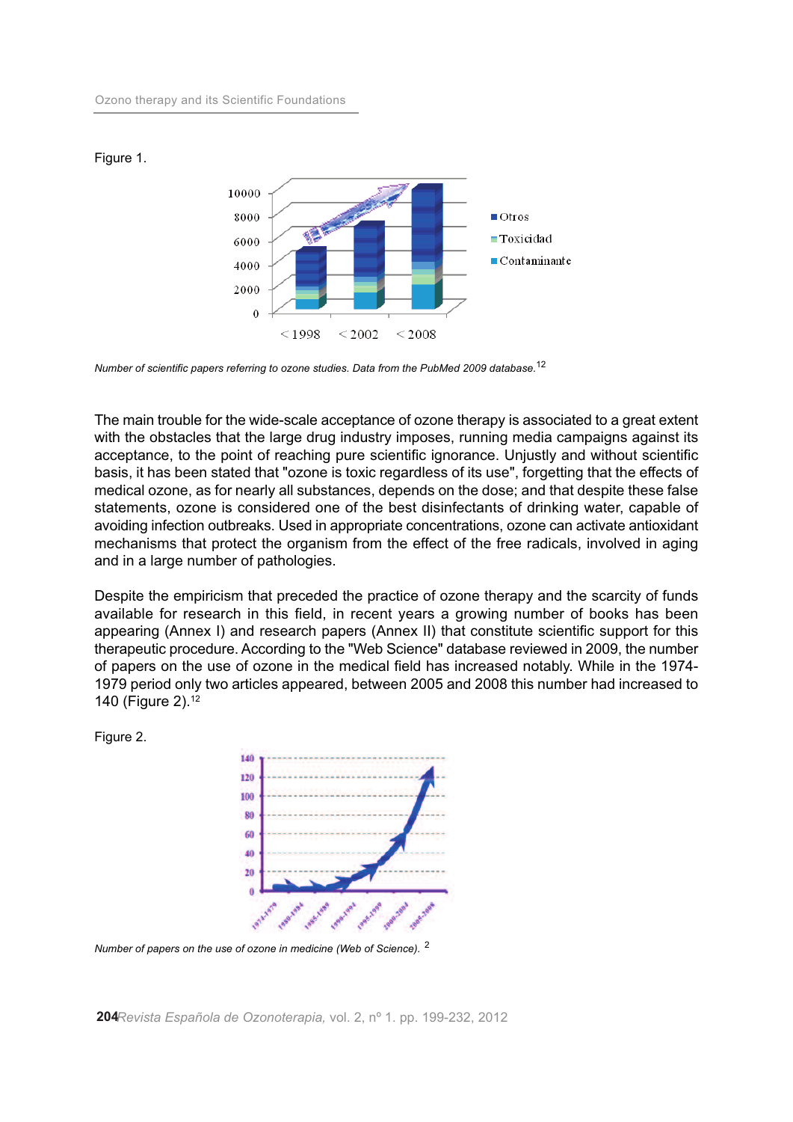

Figure 1.

*Number of scientific papers referring to ozone studies. Data from the PubMed 2009 database.* 12

The main trouble for the wide-scale acceptance of ozone therapy is associated to a great extent with the obstacles that the large drug industry imposes, running media campaigns against its acceptance, to the point of reaching pure scientific ignorance. Unjustly and without scientific basis, it has been stated that "ozone is toxic regardless of its use", forgetting that the effects of medical ozone, as for nearly all substances, depends on the dose; and that despite these false statements, ozone is considered one of the best disinfectants of drinking water, capable of avoiding infection outbreaks. Used in appropriate concentrations, ozone can activate antioxidant mechanisms that protect the organism from the effect of the free radicals, involved in aging and in a large number of pathologies.

Despite the empiricism that preceded the practice of ozone therapy and the scarcity of funds available for research in this field, in recent years a growing number of books has been appearing (Annex I) and research papers (Annex II) that constitute scientific support for this therapeutic procedure. According to the "Web Science" database reviewed in 2009, the number of papers on the use of ozone in the medical field has increased notably. While in the 1974- 1979 period only two articles appeared, between 2005 and 2008 this number had increased to 140 (Figure 2). 12

Figure 2.



*Number of papers on the use of ozone in medicine (Web of Science).* <sup>2</sup>

**204***Revista Española de Ozonoterapia,* vol. 2, nº 1. pp. 199-232, 2012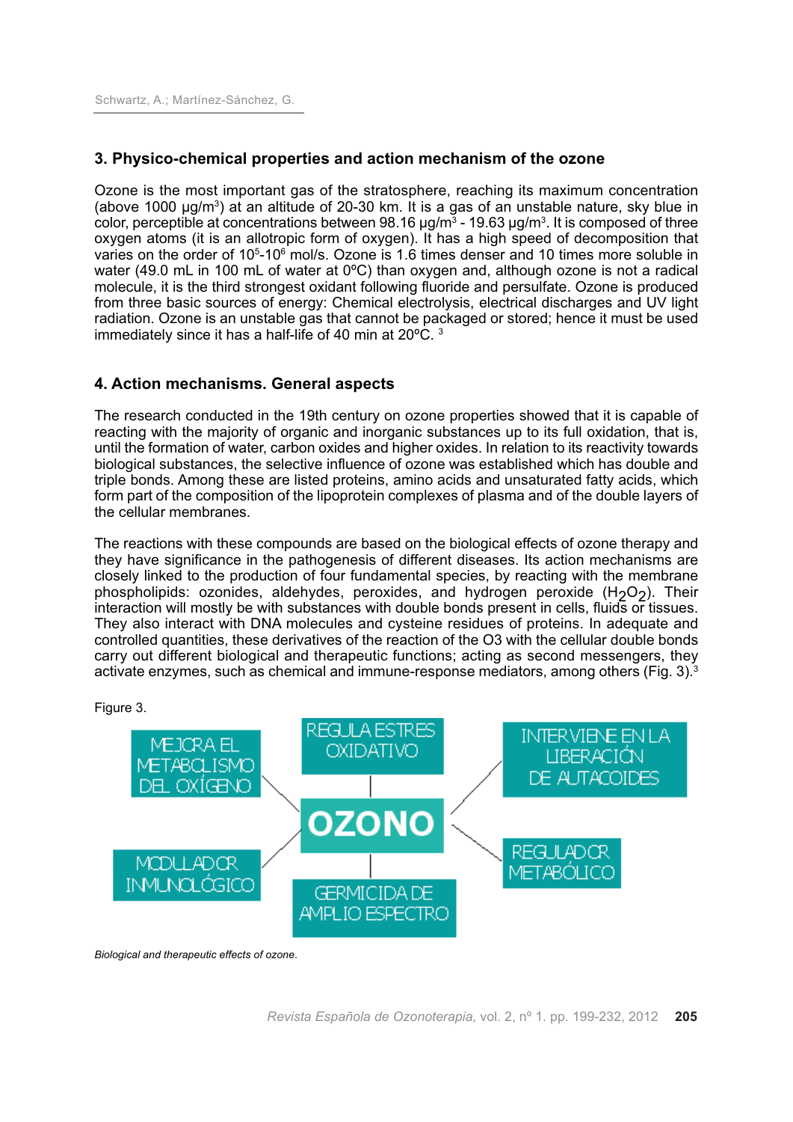## **3. Physico-chemical properties and action mechanism of the ozone**

Ozone is the most important gas of the stratosphere, reaching its maximum concentration (above 1000  $\mu$ g/m<sup>3</sup>) at an altitude of 20-30 km. It is a gas of an unstable nature, sky blue in color, perceptible at concentrations between 98.16  $\mu$ g/m<sup>3</sup> - 19.63  $\mu$ g/m<sup>3</sup>. It is composed of three oxygen atoms (it is an allotropic form of oxygen). It has a high speed of decomposition that varies on the order of 10<sup>5</sup>-10<sup>6</sup> mol/s. Ozone is 1.6 times denser and 10 times more soluble in water (49.0 mL in 100 mL of water at 0°C) than oxygen and, although ozone is not a radical molecule, it is the third strongest oxidant following fluoride and persulfate. Ozone is produced from three basic sources of energy: Chemical electrolysis, electrical discharges and UV light radiation. Ozone is an unstable gas that cannot be packaged or stored; hence it must be used immediately since it has a half-life of 40 min at 20ºC. <sup>3</sup>

## **4. Action mechanisms. General aspects**

The research conducted in the 19th century on ozone properties showed that it is capable of reacting with the majority of organic and inorganic substances up to its full oxidation, that is, until the formation of water, carbon oxides and higher oxides. In relation to its reactivity towards biological substances, the selective influence of ozone was established which has double and triple bonds. Among these are listed proteins, amino acids and unsaturated fatty acids, which form part of the composition of the lipoprotein complexes of plasma and of the double layers of the cellular membranes.

The reactions with these compounds are based on the biological effects of ozone therapy and they have significance in the pathogenesis of different diseases. Its action mechanisms are closely linked to the production of four fundamental species, by reacting with the membrane phospholipids: ozonides, aldehydes, peroxides, and hydrogen peroxide  $(H_2O_2)$ . Their interaction will mostly be with substances with double bonds present in cells, fluids or tissues. They also interact with DNA molecules and cysteine residues of proteins. In adequate and controlled quantities, these derivatives of the reaction of the O3 with the cellular double bonds carry out different biological and therapeutic functions; acting as second messengers, they activate enzymes, such as chemical and immune-response mediators, among others (Fig. 3). 3



Figure 3.

*Biological and therapeutic effects of ozone*.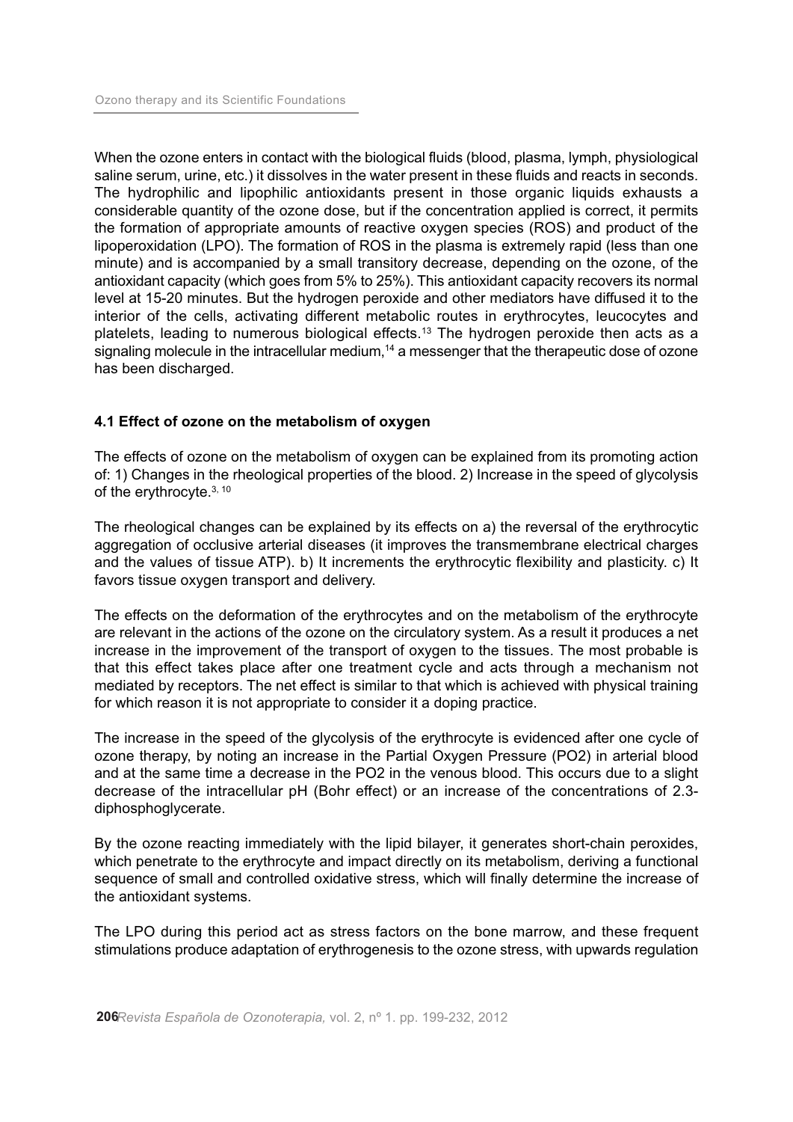When the ozone enters in contact with the biological fluids (blood, plasma, lymph, physiological saline serum, urine, etc.) it dissolves in the water present in these fluids and reacts in seconds. The hydrophilic and lipophilic antioxidants present in those organic liquids exhausts a considerable quantity of the ozone dose, but if the concentration applied is correct, it permits the formation of appropriate amounts of reactive oxygen species (ROS) and product of the lipoperoxidation (LPO). The formation of ROS in the plasma is extremely rapid (less than one minute) and is accompanied by a small transitory decrease, depending on the ozone, of the antioxidant capacity (which goes from 5% to 25%). This antioxidant capacity recovers its normal level at 15-20 minutes. But the hydrogen peroxide and other mediators have diffused it to the interior of the cells, activating different metabolic routes in erythrocytes, leucocytes and platelets, leading to numerous biological effects. <sup>13</sup> The hydrogen peroxide then acts as a signaling molecule in the intracellular medium,<sup>14</sup> a messenger that the therapeutic dose of ozone has been discharged.

## **4.1 Effect of ozone on the metabolism of oxygen**

The effects of ozone on the metabolism of oxygen can be explained from its promoting action of: 1) Changes in the rheological properties of the blood. 2) Increase in the speed of glycolysis of the erythrocyte.<sup>3, 10</sup>

The rheological changes can be explained by its effects on a) the reversal of the erythrocytic aggregation of occlusive arterial diseases (it improves the transmembrane electrical charges and the values of tissue ATP). b) It increments the erythrocytic flexibility and plasticity. c) It favors tissue oxygen transport and delivery.

The effects on the deformation of the erythrocytes and on the metabolism of the erythrocyte are relevant in the actions of the ozone on the circulatory system. As a result it produces a net increase in the improvement of the transport of oxygen to the tissues. The most probable is that this effect takes place after one treatment cycle and acts through a mechanism not mediated by receptors. The net effect is similar to that which is achieved with physical training for which reason it is not appropriate to consider it a doping practice.

The increase in the speed of the glycolysis of the erythrocyte is evidenced after one cycle of ozone therapy, by noting an increase in the Partial Oxygen Pressure (PO2) in arterial blood and at the same time a decrease in the PO2 in the venous blood. This occurs due to a slight decrease of the intracellular pH (Bohr effect) or an increase of the concentrations of 2.3 diphosphoglycerate.

By the ozone reacting immediately with the lipid bilayer, it generates short-chain peroxides, which penetrate to the erythrocyte and impact directly on its metabolism, deriving a functional sequence of small and controlled oxidative stress, which will finally determine the increase of the antioxidant systems.

The LPO during this period act as stress factors on the bone marrow, and these frequent stimulations produce adaptation of erythrogenesis to the ozone stress, with upwards regulation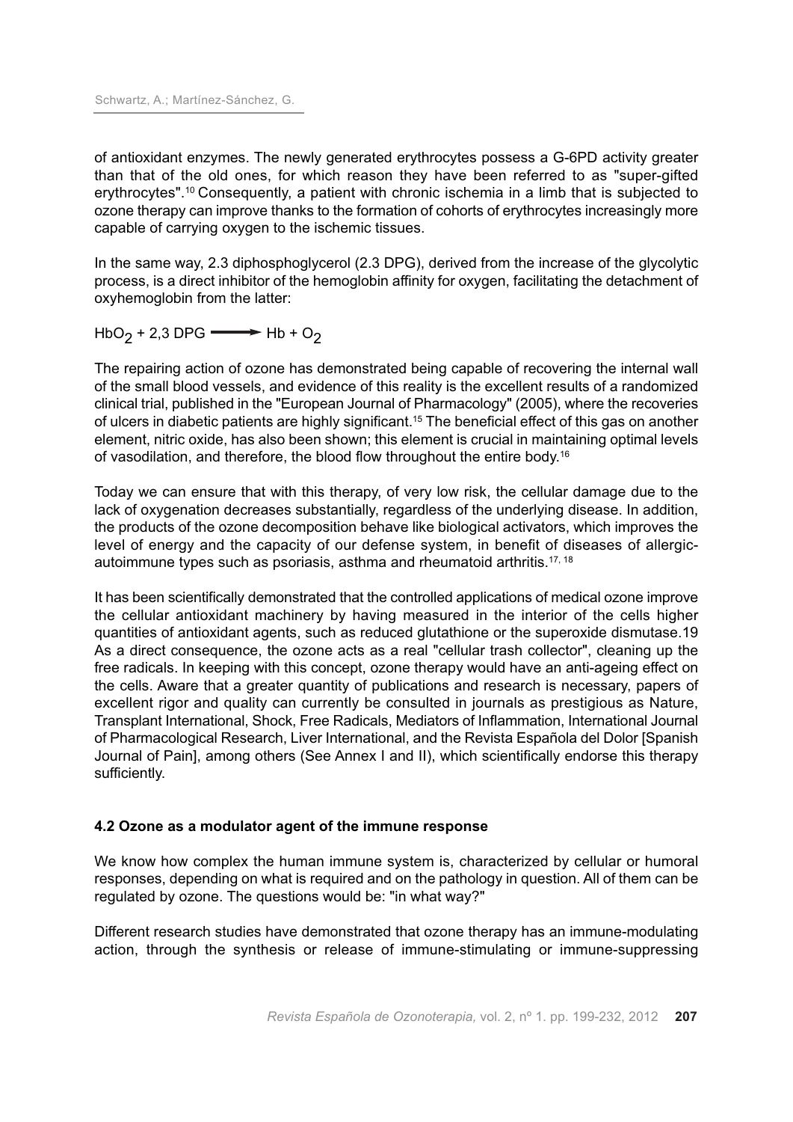of antioxidant enzymes. The newly generated erythrocytes possess a G-6PD activity greater than that of the old ones, for which reason they have been referred to as "super-gifted erythrocytes". <sup>10</sup> Consequently, a patient with chronic ischemia in a limb that is subjected to ozone therapy can improve thanks to the formation of cohorts of erythrocytes increasingly more capable of carrying oxygen to the ischemic tissues.

In the same way, 2.3 diphosphoglycerol (2.3 DPG), derived from the increase of the glycolytic process, is a direct inhibitor of the hemoglobin affinity for oxygen, facilitating the detachment of oxyhemoglobin from the latter:

 $HbO<sub>2</sub> + 2,3 DPG \longrightarrow Hb + O<sub>2</sub>$ 

The repairing action of ozone has demonstrated being capable of recovering the internal wall of the small blood vessels, and evidence of this reality is the excellent results of a randomized clinical trial, published in the "European Journal of Pharmacology" (2005), where the recoveries of ulcers in diabetic patients are highly significant. <sup>15</sup> The beneficial effect of this gas on another element, nitric oxide, has also been shown; this element is crucial in maintaining optimal levels of vasodilation, and therefore, the blood flow throughout the entire body.<sup>16</sup>

Today we can ensure that with this therapy, of very low risk, the cellular damage due to the lack of oxygenation decreases substantially, regardless of the underlying disease. In addition, the products of the ozone decomposition behave like biological activators, which improves the level of energy and the capacity of our defense system, in benefit of diseases of allergicautoimmune types such as psoriasis, asthma and rheumatoid arthritis. 17, 18

It has been scientifically demonstrated that the controlled applications of medical ozone improve the cellular antioxidant machinery by having measured in the interior of the cells higher quantities of antioxidant agents, such as reduced glutathione or the superoxide dismutase.19 As a direct consequence, the ozone acts as a real "cellular trash collector", cleaning up the free radicals. In keeping with this concept, ozone therapy would have an anti-ageing effect on the cells. Aware that a greater quantity of publications and research is necessary, papers of excellent rigor and quality can currently be consulted in journals as prestigious as Nature, Transplant International, Shock, Free Radicals, Mediators of Inflammation, International Journal of Pharmacological Research, Liver International, and the Revista Española del Dolor [Spanish Journal of Pain], among others (See Annex I and II), which scientifically endorse this therapy sufficiently.

## **4.2 Ozone as a modulator agent of the immune response**

We know how complex the human immune system is, characterized by cellular or humoral responses, depending on what is required and on the pathology in question. All of them can be regulated by ozone. The questions would be: "in what way?"

Different research studies have demonstrated that ozone therapy has an immune-modulating action, through the synthesis or release of immune-stimulating or immune-suppressing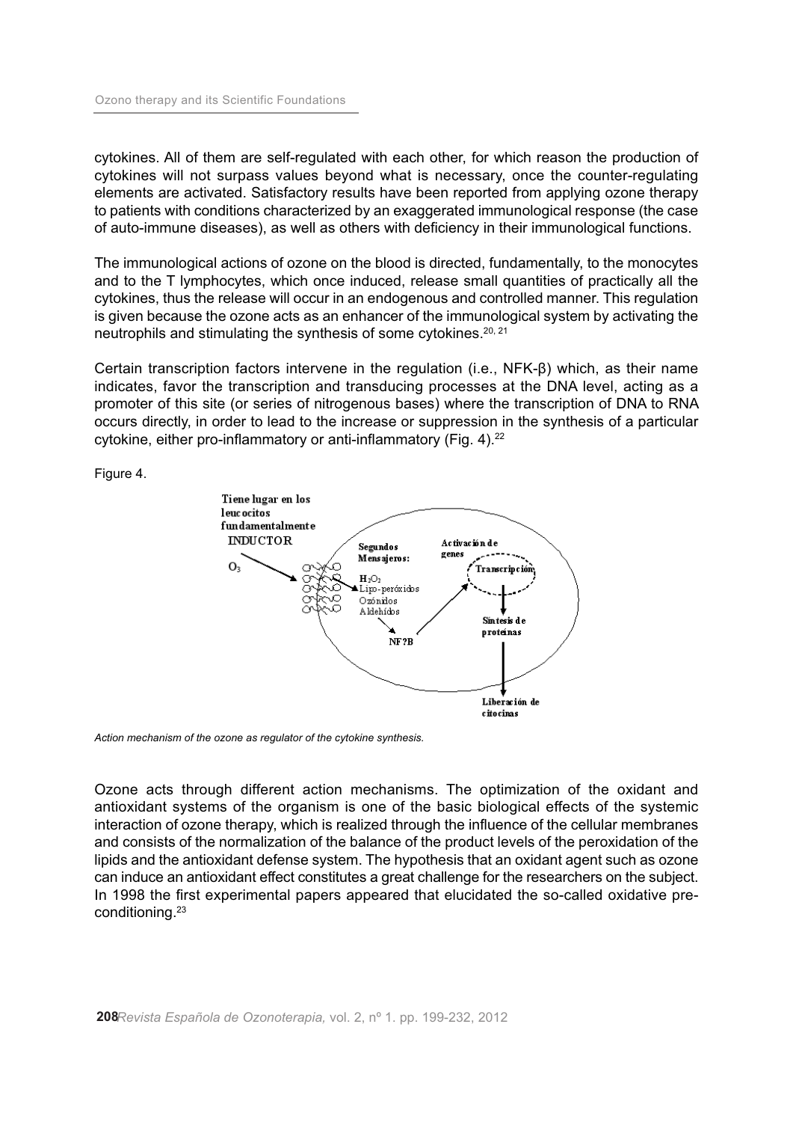cytokines. All of them are self-regulated with each other, for which reason the production of cytokines will not surpass values beyond what is necessary, once the counter-regulating elements are activated. Satisfactory results have been reported from applying ozone therapy to patients with conditions characterized by an exaggerated immunological response (the case of auto-immune diseases), as well as others with deficiency in their immunological functions.

The immunological actions of ozone on the blood is directed, fundamentally, to the monocytes and to the T lymphocytes, which once induced, release small quantities of practically all the cytokines, thus the release will occur in an endogenous and controlled manner. This regulation is given because the ozone acts as an enhancer of the immunological system by activating the neutrophils and stimulating the synthesis of some cytokines.<sup>20, 21</sup>

Certain transcription factors intervene in the regulation (i.e., NFK-β) which, as their name indicates, favor the transcription and transducing processes at the DNA level, acting as a promoter of this site (or series of nitrogenous bases) where the transcription of DNA to RNA occurs directly, in order to lead to the increase or suppression in the synthesis of a particular cytokine, either pro-inflammatory or anti-inflammatory (Fig. 4). 22

Figure 4.



*Action mechanism of the ozone as regulator of the cytokine synthesis.*

Ozone acts through different action mechanisms. The optimization of the oxidant and antioxidant systems of the organism is one of the basic biological effects of the systemic interaction of ozone therapy, which is realized through the influence of the cellular membranes and consists of the normalization of the balance of the product levels of the peroxidation of the lipids and the antioxidant defense system. The hypothesis that an oxidant agent such as ozone can induce an antioxidant effect constitutes a great challenge for the researchers on the subject. In 1998 the first experimental papers appeared that elucidated the so-called oxidative preconditioning. 23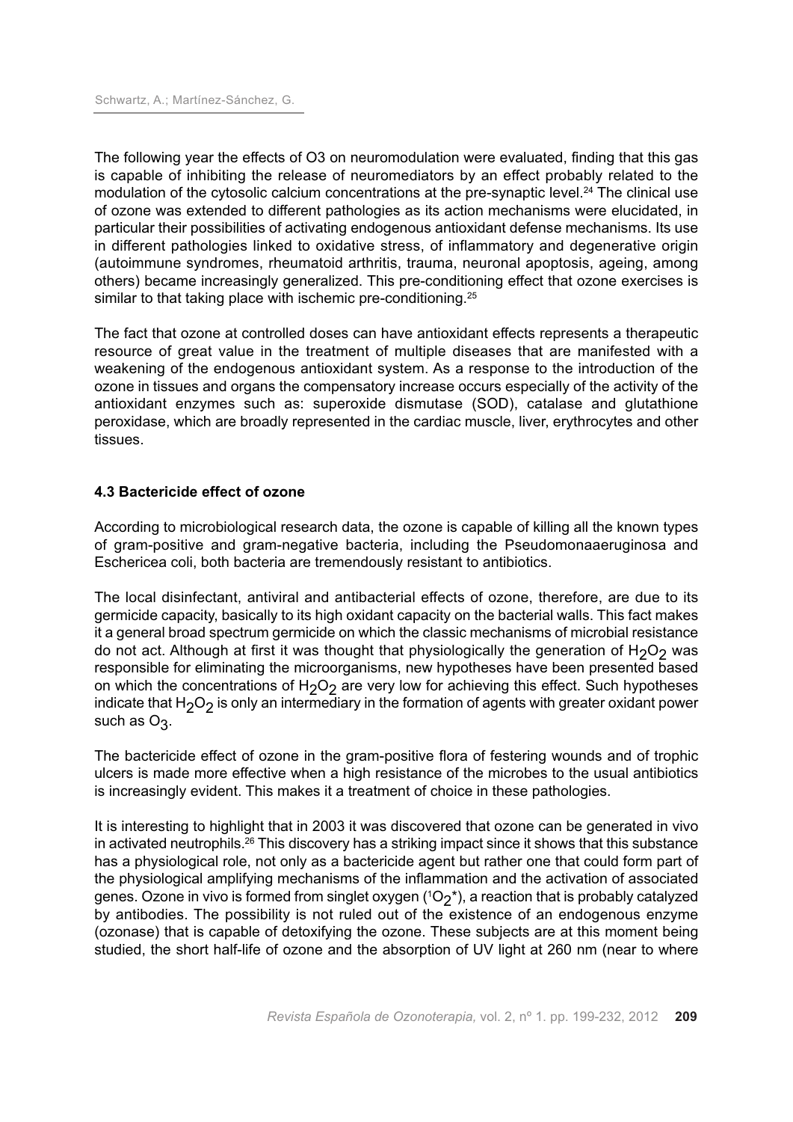The following year the effects of O3 on neuromodulation were evaluated, finding that this gas is capable of inhibiting the release of neuromediators by an effect probably related to the modulation of the cytosolic calcium concentrations at the pre-synaptic level.<sup>24</sup> The clinical use of ozone was extended to different pathologies as its action mechanisms were elucidated, in particular their possibilities of activating endogenous antioxidant defense mechanisms. Its use in different pathologies linked to oxidative stress, of inflammatory and degenerative origin (autoimmune syndromes, rheumatoid arthritis, trauma, neuronal apoptosis, ageing, among others) became increasingly generalized. This pre-conditioning effect that ozone exercises is similar to that taking place with ischemic pre-conditioning.<sup>25</sup>

The fact that ozone at controlled doses can have antioxidant effects represents a therapeutic resource of great value in the treatment of multiple diseases that are manifested with a weakening of the endogenous antioxidant system. As a response to the introduction of the ozone in tissues and organs the compensatory increase occurs especially of the activity of the antioxidant enzymes such as: superoxide dismutase (SOD), catalase and glutathione peroxidase, which are broadly represented in the cardiac muscle, liver, erythrocytes and other tissues.

## **4.3 Bactericide effect of ozone**

According to microbiological research data, the ozone is capable of killing all the known types of gram-positive and gram-negative bacteria, including the Pseudomonaaeruginosa and Eschericea coli, both bacteria are tremendously resistant to antibiotics.

The local disinfectant, antiviral and antibacterial effects of ozone, therefore, are due to its germicide capacity, basically to its high oxidant capacity on the bacterial walls. This fact makes it a general broad spectrum germicide on which the classic mechanisms of microbial resistance do not act. Although at first it was thought that physiologically the generation of  $H_2O_2$  was responsible for eliminating the microorganisms, new hypotheses have been presented based on which the concentrations of  $H_2O_2$  are very low for achieving this effect. Such hypotheses indicate that  $H_2O_2$  is only an intermediary in the formation of agents with greater oxidant power such as  $O_3$ .

The bactericide effect of ozone in the gram-positive flora of festering wounds and of trophic ulcers is made more effective when a high resistance of the microbes to the usual antibiotics is increasingly evident. This makes it a treatment of choice in these pathologies.

It is interesting to highlight that in 2003 it was discovered that ozone can be generated in vivo in activated neutrophils. $^{26}$  This discovery has a striking impact since it shows that this substance has a physiological role, not only as a bactericide agent but rather one that could form part of the physiological amplifying mechanisms of the inflammation and the activation of associated genes. Ozone in vivo is formed from singlet oxygen ( ${}^{1}O_{2}$ \*), a reaction that is probably catalyzed by antibodies. The possibility is not ruled out of the existence of an endogenous enzyme (ozonase) that is capable of detoxifying the ozone. These subjects are at this moment being studied, the short half-life of ozone and the absorption of UV light at 260 nm (near to where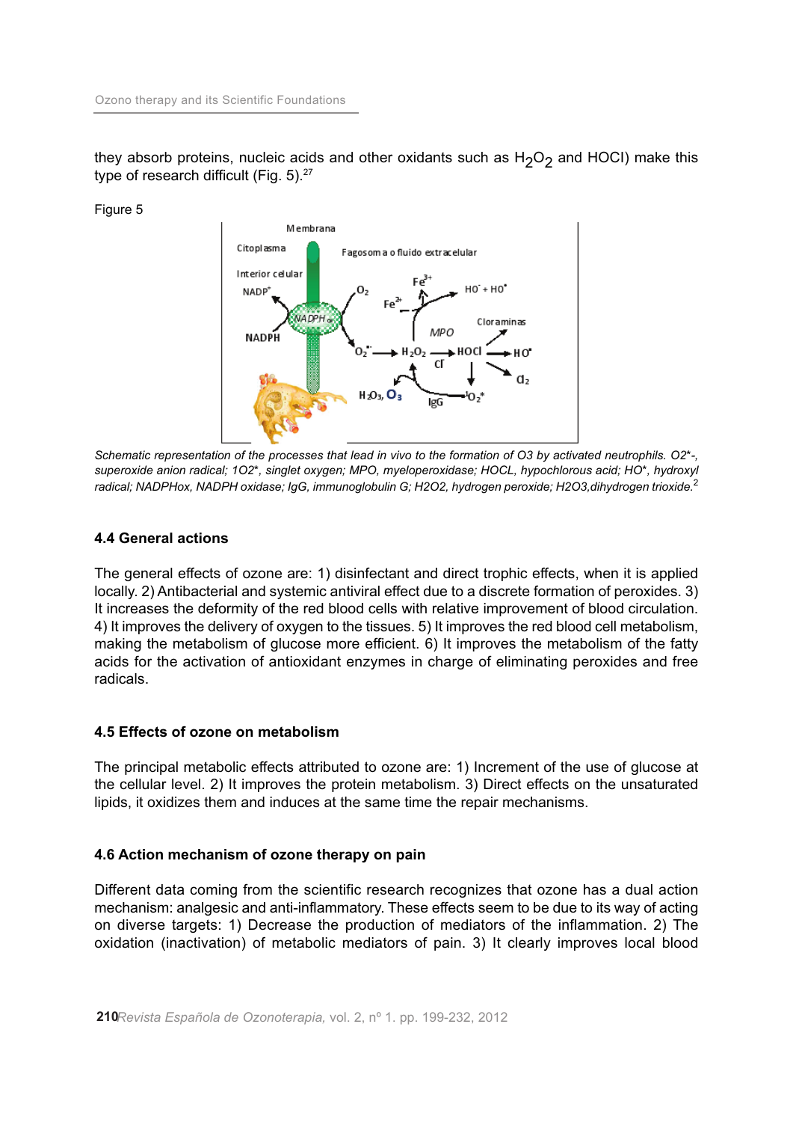they absorb proteins, nucleic acids and other oxidants such as  $H_2O_2$  and HOCI) make this type of research difficult (Fig. 5). 27

Figure 5



Schematic representation of the processes that lead in vivo to the formation of O3 by activated neutrophils. O2\*-, *superoxide anion radical; 1O2\*, singlet oxygen; MPO, myeloperoxidase; HOCL, hypochlorous acid; HO\*, hydroxyl radical; NADPHox, NADPH oxidase; IgG, immunoglobulin G; H2O2, hydrogen peroxide; H2O3,dihydrogen trioxide.* 2

## **4.4 General actions**

The general effects of ozone are: 1) disinfectant and direct trophic effects, when it is applied locally. 2) Antibacterial and systemic antiviral effect due to a discrete formation of peroxides. 3) It increases the deformity of the red blood cells with relative improvement of blood circulation. 4) It improves the delivery of oxygen to the tissues. 5) It improves the red blood cell metabolism, making the metabolism of glucose more efficient. 6) It improves the metabolism of the fatty acids for the activation of antioxidant enzymes in charge of eliminating peroxides and free radicals.

#### **4.5 Effects of ozone on metabolism**

The principal metabolic effects attributed to ozone are: 1) Increment of the use of glucose at the cellular level. 2) It improves the protein metabolism. 3) Direct effects on the unsaturated lipids, it oxidizes them and induces at the same time the repair mechanisms.

#### **4.6 Action mechanism of ozone therapy on pain**

Different data coming from the scientific research recognizes that ozone has a dual action mechanism: analgesic and anti-inflammatory. These effects seem to be due to its way of acting on diverse targets: 1) Decrease the production of mediators of the inflammation. 2) The oxidation (inactivation) of metabolic mediators of pain. 3) It clearly improves local blood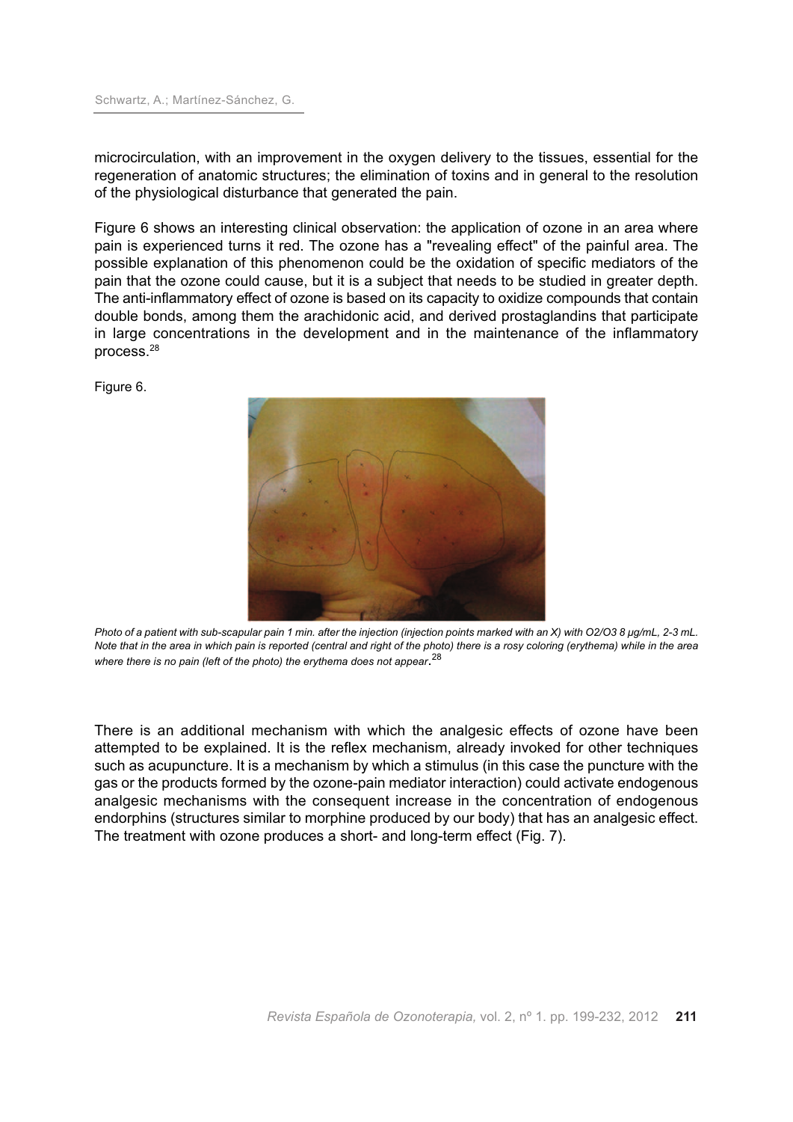microcirculation, with an improvement in the oxygen delivery to the tissues, essential for the regeneration of anatomic structures; the elimination of toxins and in general to the resolution of the physiological disturbance that generated the pain.

Figure 6 shows an interesting clinical observation: the application of ozone in an area where pain is experienced turns it red. The ozone has a "revealing effect" of the painful area. The possible explanation of this phenomenon could be the oxidation of specific mediators of the pain that the ozone could cause, but it is a subject that needs to be studied in greater depth. The anti-inflammatory effect of ozone is based on its capacity to oxidize compounds that contain double bonds, among them the arachidonic acid, and derived prostaglandins that participate in large concentrations in the development and in the maintenance of the inflammatory process. 28

Figure 6.



Photo of a patient with sub-scapular pain 1 min. after the injection (injection points marked with an X) with O2/O3 8 µq/mL, 2-3 mL. Note that in the area in which pain is reported (central and right of the photo) there is a rosy coloring (erythema) while in the area *where there is no pain (left of the photo) the erythema does not appear*. 28

There is an additional mechanism with which the analgesic effects of ozone have been attempted to be explained. It is the reflex mechanism, already invoked for other techniques such as acupuncture. It is a mechanism by which a stimulus (in this case the puncture with the gas or the products formed by the ozone-pain mediator interaction) could activate endogenous analgesic mechanisms with the consequent increase in the concentration of endogenous endorphins (structures similar to morphine produced by our body) that has an analgesic effect. The treatment with ozone produces a short- and long-term effect (Fig. 7).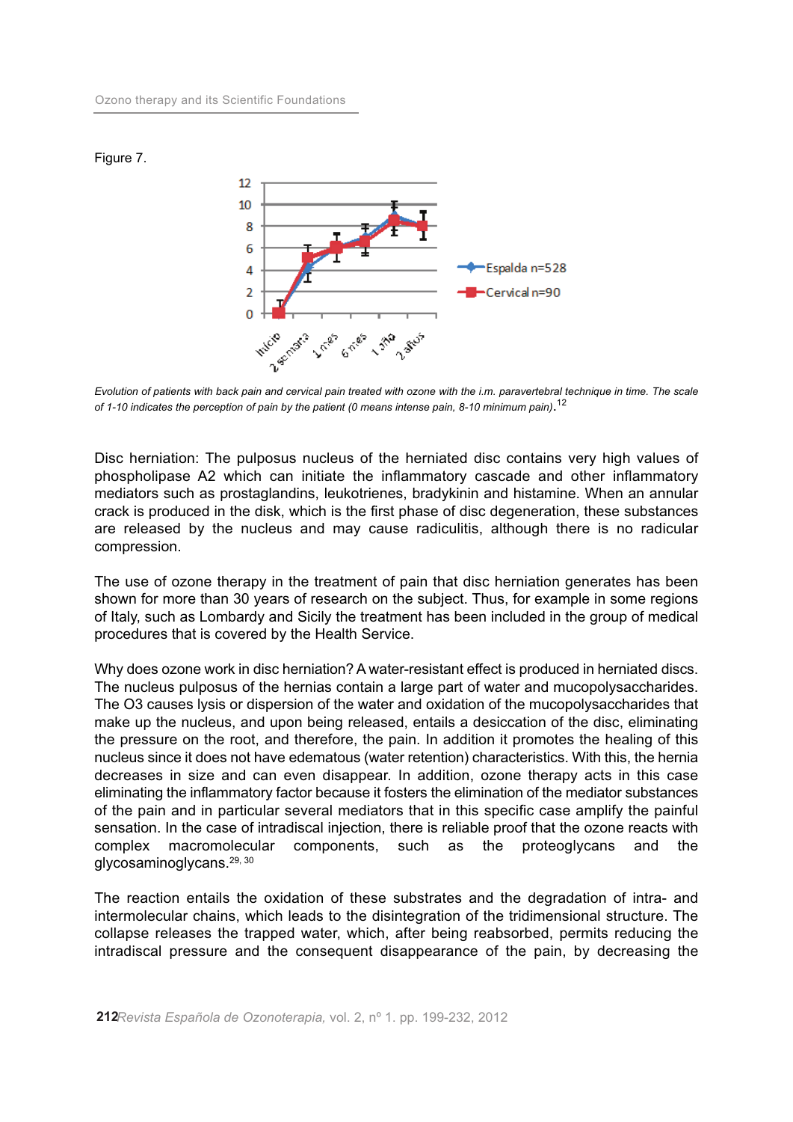Figure 7.



Evolution of patients with back pain and cervical pain treated with ozone with the i.m. paravertebral technique in time. The scale *of 1-10 indicates the perception of pain by the patient (0 means intense pain, 8-10 minimum pain)*. 12

Disc herniation: The pulposus nucleus of the herniated disc contains very high values of phospholipase A2 which can initiate the inflammatory cascade and other inflammatory mediators such as prostaglandins, leukotrienes, bradykinin and histamine. When an annular crack is produced in the disk, which is the first phase of disc degeneration, these substances are released by the nucleus and may cause radiculitis, although there is no radicular compression.

The use of ozone therapy in the treatment of pain that disc herniation generates has been shown for more than 30 years of research on the subject. Thus, for example in some regions of Italy, such as Lombardy and Sicily the treatment has been included in the group of medical procedures that is covered by the Health Service.

Why does ozone work in disc herniation? A water-resistant effect is produced in herniated discs. The nucleus pulposus of the hernias contain a large part of water and mucopolysaccharides. The O3 causes lysis or dispersion of the water and oxidation of the mucopolysaccharides that make up the nucleus, and upon being released, entails a desiccation of the disc, eliminating the pressure on the root, and therefore, the pain. In addition it promotes the healing of this nucleus since it does not have edematous (water retention) characteristics. With this, the hernia decreases in size and can even disappear. In addition, ozone therapy acts in this case eliminating the inflammatory factor because it fosters the elimination of the mediator substances of the pain and in particular several mediators that in this specific case amplify the painful sensation. In the case of intradiscal injection, there is reliable proof that the ozone reacts with complex macromolecular components, such as the proteoglycans and the glycosaminoglycans. 29, 30

The reaction entails the oxidation of these substrates and the degradation of intra- and intermolecular chains, which leads to the disintegration of the tridimensional structure. The collapse releases the trapped water, which, after being reabsorbed, permits reducing the intradiscal pressure and the consequent disappearance of the pain, by decreasing the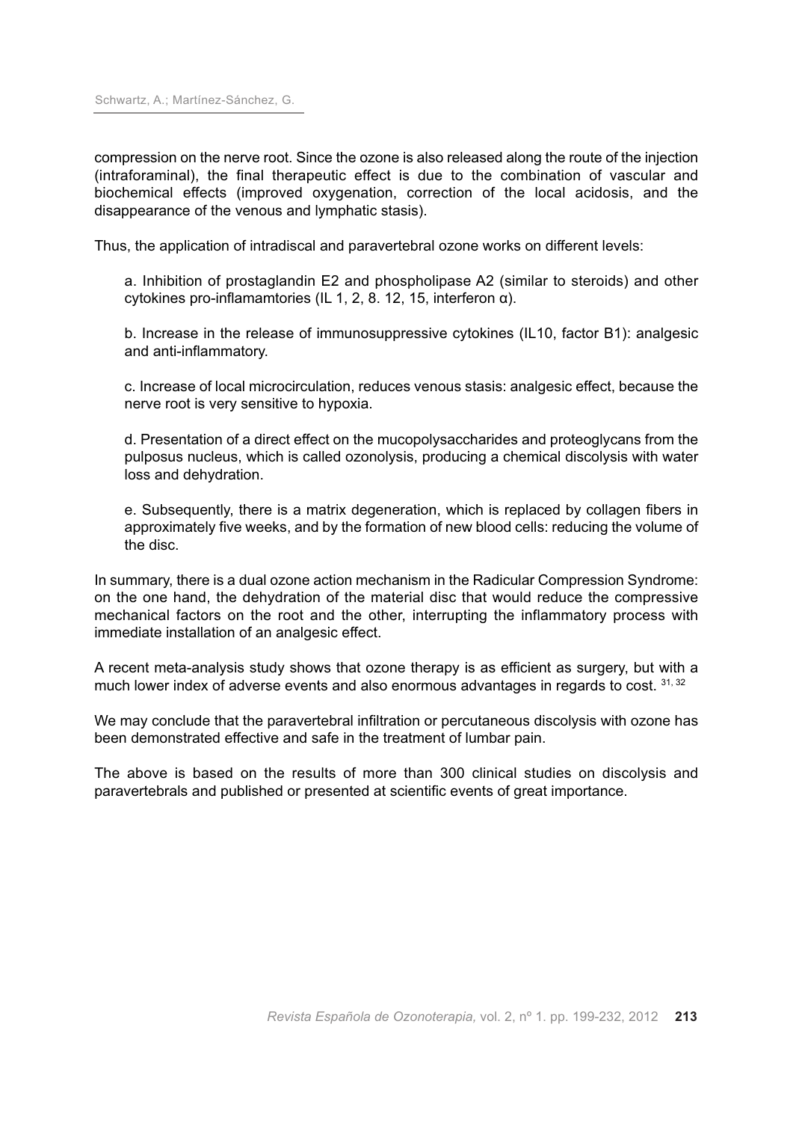compression on the nerve root. Since the ozone is also released along the route of the injection (intraforaminal), the final therapeutic effect is due to the combination of vascular and biochemical effects (improved oxygenation, correction of the local acidosis, and the disappearance of the venous and lymphatic stasis).

Thus, the application of intradiscal and paravertebral ozone works on different levels:

a. Inhibition of prostaglandin E2 and phospholipase A2 (similar to steroids) and other cytokines pro-inflamamtories (IL 1, 2, 8. 12, 15, interferon α).

b. Increase in the release of immunosuppressive cytokines (IL10, factor B1): analgesic and anti-inflammatory.

c. Increase of local microcirculation, reduces venous stasis: analgesic effect, because the nerve root is very sensitive to hypoxia.

d. Presentation of a direct effect on the mucopolysaccharides and proteoglycans from the pulposus nucleus, which is called ozonolysis, producing a chemical discolysis with water loss and dehydration.

e. Subsequently, there is a matrix degeneration, which is replaced by collagen fibers in approximately five weeks, and by the formation of new blood cells: reducing the volume of the disc.

In summary, there is a dual ozone action mechanism in the Radicular Compression Syndrome: on the one hand, the dehydration of the material disc that would reduce the compressive mechanical factors on the root and the other, interrupting the inflammatory process with immediate installation of an analgesic effect.

A recent meta-analysis study shows that ozone therapy is as efficient as surgery, but with a much lower index of adverse events and also enormous advantages in regards to cost. 31, 32

We may conclude that the paravertebral infiltration or percutaneous discolysis with ozone has been demonstrated effective and safe in the treatment of lumbar pain.

The above is based on the results of more than 300 clinical studies on discolysis and paravertebrals and published or presented at scientific events of great importance.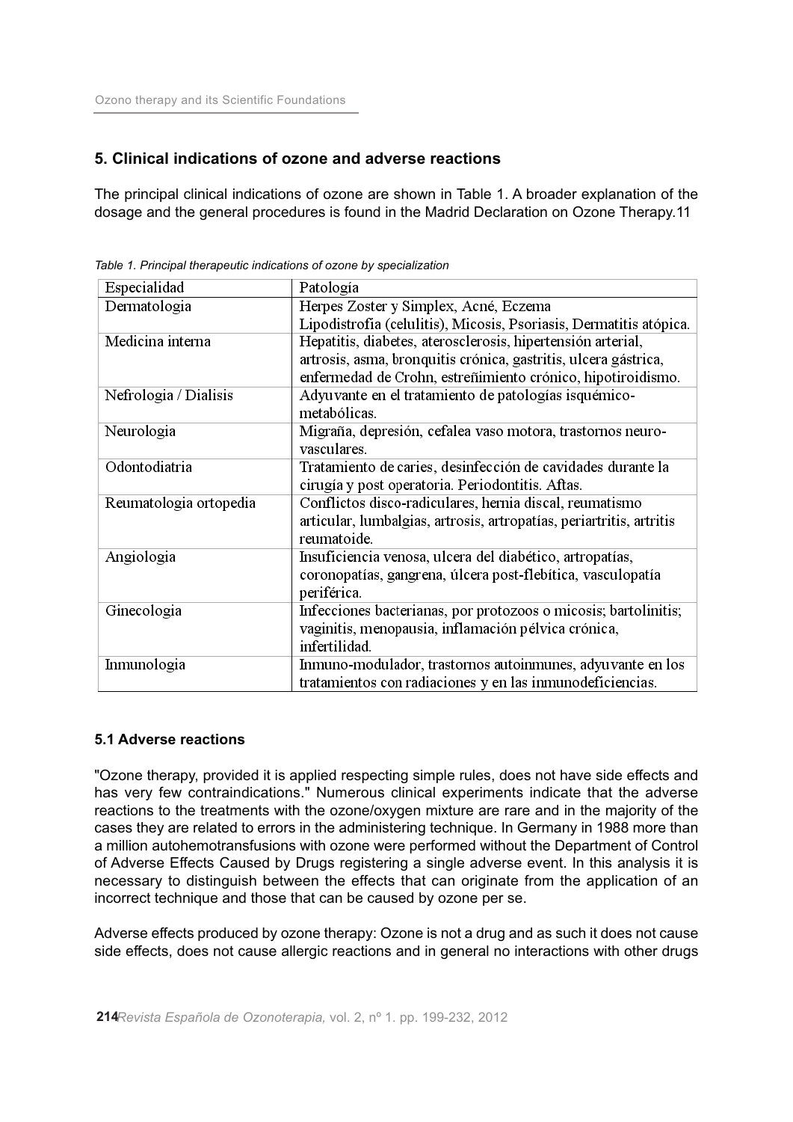## **5. Clinical indications of ozone and adverse reactions**

The principal clinical indications of ozone are shown in Table 1. A broader explanation of the dosage and the general procedures is found in the Madrid Declaration on Ozone Therapy.11

| Especialidad           | Patología                                                            |
|------------------------|----------------------------------------------------------------------|
| Dermatologia           | Herpes Zoster y Simplex, Acné, Eczema                                |
|                        | Lipodistrofía (celulitis), Micosis, Psoriasis, Dermatitis atópica.   |
| Medicina interna       | Hepatitis, diabetes, aterosclerosis, hipertensión arterial,          |
|                        | artrosis, asma, bronquitis crónica, gastritis, ulcera gástrica,      |
|                        | enfermedad de Crohn, estreñimiento crónico, hipotiroidismo.          |
| Nefrologia / Dialisis  | Adyuvante en el tratamiento de patologías isquémico-                 |
|                        | metabólicas.                                                         |
| Neurologia             | Migraña, depresión, cefalea vaso motora, trastornos neuro-           |
|                        | vasculares.                                                          |
| Odontodiatria          | Tratamiento de caries, desinfección de cavidades durante la          |
|                        | cirugía y post operatoria. Periodontitis. Aftas.                     |
| Reumatologia ortopedia | Conflictos disco-radiculares, hernia discal, reumatismo              |
|                        | articular, lumbalgias, artrosis, artropatías, periartritis, artritis |
|                        | reumatoide.                                                          |
| Angiologia             | Insuficiencia venosa, ulcera del diabético, artropatías,             |
|                        | coronopatías, gangrena, úlcera post-flebítica, vasculopatía          |
|                        | periférica.                                                          |
| Ginecologia            | Infecciones bacterianas, por protozoos o micosis; bartolinitis;      |
|                        | vaginitis, menopausia, inflamación pélvica crónica,                  |
|                        | infertilidad.                                                        |
| Inmunologia            | Inmuno-modulador, trastornos autoinmunes, adyuvante en los           |
|                        | tratamientos con radiaciones y en las inmunodeficiencias.            |

*Table 1. Principal therapeutic indications of ozone by specialization*

## **5.1 Adverse reactions**

"Ozone therapy, provided it is applied respecting simple rules, does not have side effects and has very few contraindications." Numerous clinical experiments indicate that the adverse reactions to the treatments with the ozone/oxygen mixture are rare and in the majority of the cases they are related to errors in the administering technique. In Germany in 1988 more than a million autohemotransfusions with ozone were performed without the Department of Control of Adverse Effects Caused by Drugs registering a single adverse event. In this analysis it is necessary to distinguish between the effects that can originate from the application of an incorrect technique and those that can be caused by ozone per se.

Adverse effects produced by ozone therapy: Ozone is not a drug and as such it does not cause side effects, does not cause allergic reactions and in general no interactions with other drugs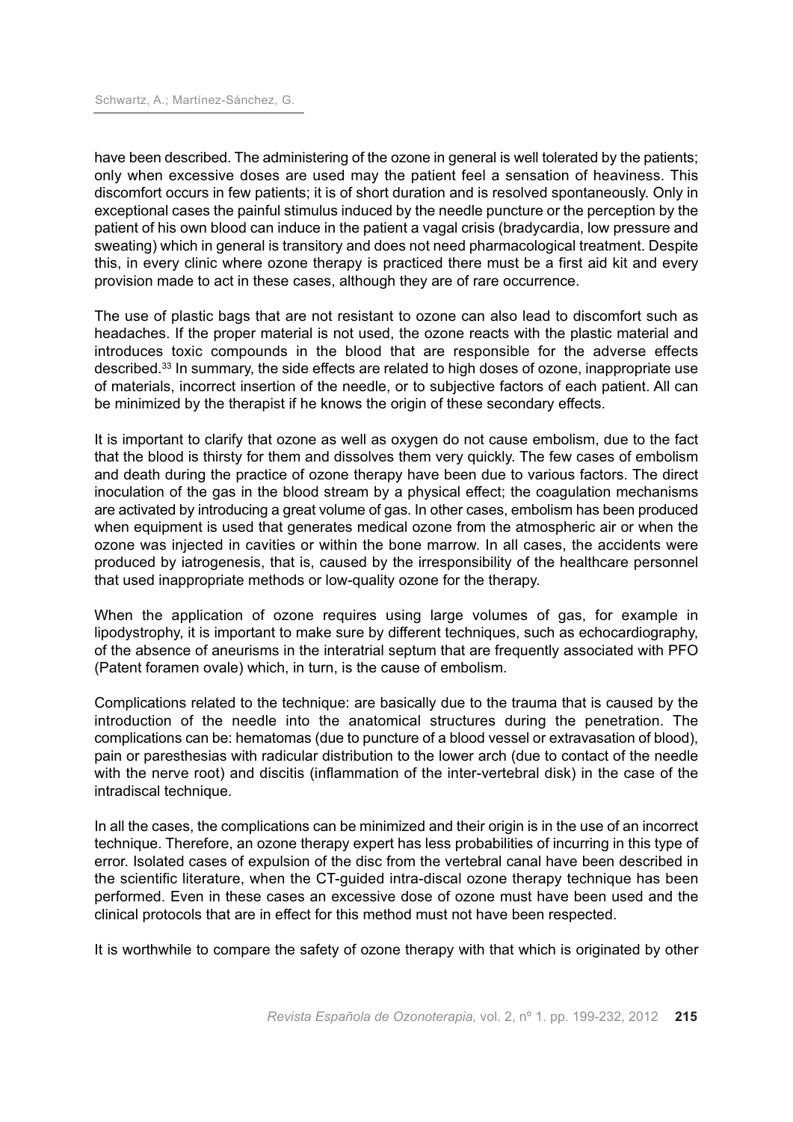have been described. The administering of the ozone in general is well tolerated by the patients; only when excessive doses are used may the patient feel a sensation of heaviness. This discomfort occurs in few patients; it is of short duration and is resolved spontaneously. Only in exceptional cases the painful stimulus induced by the needle puncture or the perception by the patient of his own blood can induce in the patient a vagal crisis (bradycardia, low pressure and sweating) which in general is transitory and does not need pharmacological treatment. Despite this, in every clinic where ozone therapy is practiced there must be a first aid kit and every provision made to act in these cases, although they are of rare occurrence.

The use of plastic bags that are not resistant to ozone can also lead to discomfort such as headaches. If the proper material is not used, the ozone reacts with the plastic material and introduces toxic compounds in the blood that are responsible for the adverse effects described.<sup>33</sup> In summary, the side effects are related to high doses of ozone, inappropriate use of materials, incorrect insertion of the needle, or to subjective factors of each patient. All can be minimized by the therapist if he knows the origin of these secondary effects.

It is important to clarify that ozone as well as oxygen do not cause embolism, due to the fact that the blood is thirsty for them and dissolves them very quickly. The few cases of embolism and death during the practice of ozone therapy have been due to various factors. The direct inoculation of the gas in the blood stream by a physical effect; the coagulation mechanisms are activated by introducing a great volume of gas. In other cases, embolism has been produced when equipment is used that generates medical ozone from the atmospheric air or when the ozone was injected in cavities or within the bone marrow. In all cases, the accidents were produced by iatrogenesis, that is, caused by the irresponsibility of the healthcare personnel that used inappropriate methods or low-quality ozone for the therapy.

When the application of ozone requires using large volumes of gas, for example in lipodystrophy, it is important to make sure by different techniques, such as echocardiography, of the absence of aneurisms in the interatrial septum that are frequently associated with PFO (Patent foramen ovale) which, in turn, is the cause of embolism.

Complications related to the technique: are basically due to the trauma that is caused by the introduction of the needle into the anatomical structures during the penetration. The complications can be: hematomas (due to puncture of a blood vessel or extravasation of blood), pain or paresthesias with radicular distribution to the lower arch (due to contact of the needle with the nerve root) and discitis (inflammation of the inter-vertebral disk) in the case of the intradiscal technique.

In all the cases, the complications can be minimized and their origin is in the use of an incorrect technique. Therefore, an ozone therapy expert has less probabilities of incurring in this type of error. Isolated cases of expulsion of the disc from the vertebral canal have been described in the scientific literature, when the CT-guided intra-discal ozone therapy technique has been performed. Even in these cases an excessive dose of ozone must have been used and the clinical protocols that are in effect for this method must not have been respected.

It is worthwhile to compare the safety of ozone therapy with that which is originated by other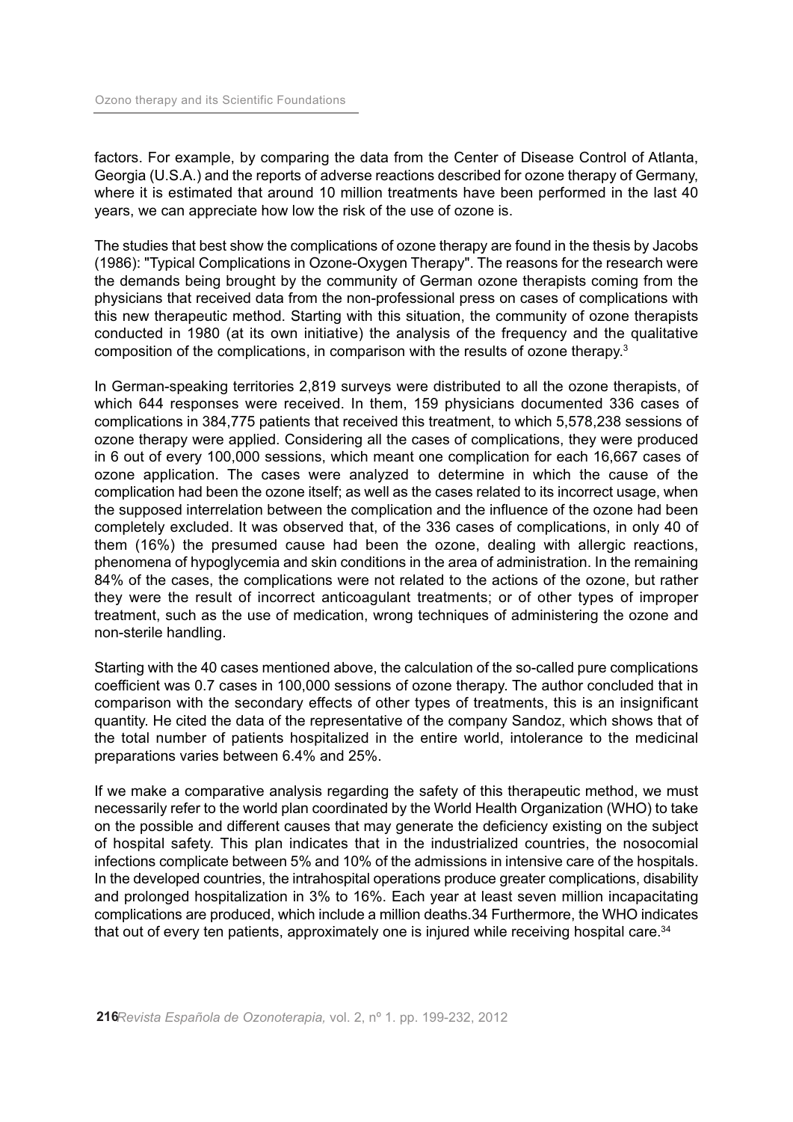factors. For example, by comparing the data from the Center of Disease Control of Atlanta, Georgia (U.S.A.) and the reports of adverse reactions described for ozone therapy of Germany, where it is estimated that around 10 million treatments have been performed in the last 40 years, we can appreciate how low the risk of the use of ozone is.

The studies that best show the complications of ozone therapy are found in the thesis by Jacobs (1986): "Typical Complications in Ozone-Oxygen Therapy". The reasons for the research were the demands being brought by the community of German ozone therapists coming from the physicians that received data from the non-professional press on cases of complications with this new therapeutic method. Starting with this situation, the community of ozone therapists conducted in 1980 (at its own initiative) the analysis of the frequency and the qualitative composition of the complications, in comparison with the results of ozone therapy. 3

In German-speaking territories 2,819 surveys were distributed to all the ozone therapists, of which 644 responses were received. In them, 159 physicians documented 336 cases of complications in 384,775 patients that received this treatment, to which 5,578,238 sessions of ozone therapy were applied. Considering all the cases of complications, they were produced in 6 out of every 100,000 sessions, which meant one complication for each 16,667 cases of ozone application. The cases were analyzed to determine in which the cause of the complication had been the ozone itself; as well as the cases related to its incorrect usage, when the supposed interrelation between the complication and the influence of the ozone had been completely excluded. It was observed that, of the 336 cases of complications, in only 40 of them (16%) the presumed cause had been the ozone, dealing with allergic reactions, phenomena of hypoglycemia and skin conditions in the area of administration. In the remaining 84% of the cases, the complications were not related to the actions of the ozone, but rather they were the result of incorrect anticoagulant treatments; or of other types of improper treatment, such as the use of medication, wrong techniques of administering the ozone and non-sterile handling.

Starting with the 40 cases mentioned above, the calculation of the so-called pure complications coefficient was 0.7 cases in 100,000 sessions of ozone therapy. The author concluded that in comparison with the secondary effects of other types of treatments, this is an insignificant quantity. He cited the data of the representative of the company Sandoz, which shows that of the total number of patients hospitalized in the entire world, intolerance to the medicinal preparations varies between 6.4% and 25%.

If we make a comparative analysis regarding the safety of this therapeutic method, we must necessarily refer to the world plan coordinated by the World Health Organization (WHO) to take on the possible and different causes that may generate the deficiency existing on the subject of hospital safety. This plan indicates that in the industrialized countries, the nosocomial infections complicate between 5% and 10% of the admissions in intensive care of the hospitals. In the developed countries, the intrahospital operations produce greater complications, disability and prolonged hospitalization in 3% to 16%. Each year at least seven million incapacitating complications are produced, which include a million deaths.34 Furthermore, the WHO indicates that out of every ten patients, approximately one is injured while receiving hospital care. 34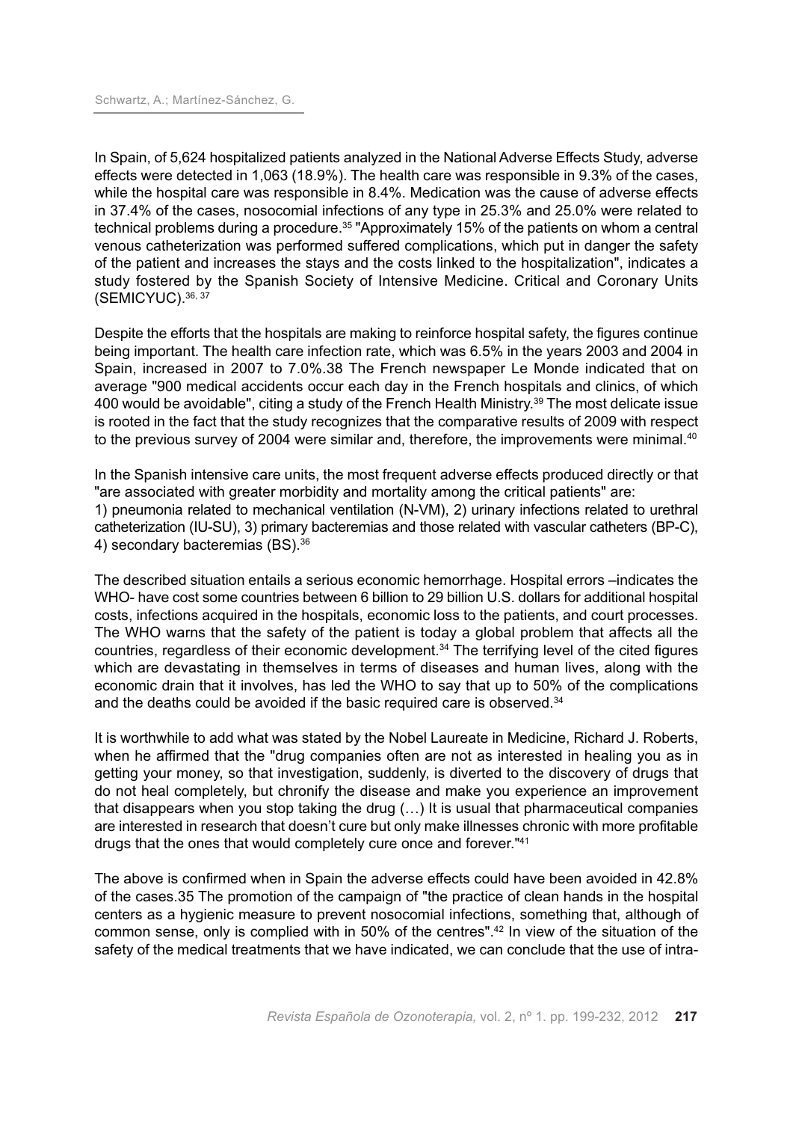In Spain, of 5,624 hospitalized patients analyzed in the National Adverse Effects Study, adverse effects were detected in 1,063 (18.9%). The health care was responsible in 9.3% of the cases, while the hospital care was responsible in 8.4%. Medication was the cause of adverse effects in 37.4% of the cases, nosocomial infections of any type in 25.3% and 25.0% were related to technical problems during a procedure. <sup>35</sup> "Approximately 15% of the patients on whom a central venous catheterization was performed suffered complications, which put in danger the safety of the patient and increases the stays and the costs linked to the hospitalization", indicates a study fostered by the Spanish Society of Intensive Medicine. Critical and Coronary Units (SEMICYUC). 36, 37

Despite the efforts that the hospitals are making to reinforce hospital safety, the figures continue being important. The health care infection rate, which was 6.5% in the years 2003 and 2004 in Spain, increased in 2007 to 7.0%.38 The French newspaper Le Monde indicated that on average "900 medical accidents occur each day in the French hospitals and clinics, of which 400 would be avoidable", citing a study of the French Health Ministry. <sup>39</sup> The most delicate issue is rooted in the fact that the study recognizes that the comparative results of 2009 with respect to the previous survey of 2004 were similar and, therefore, the improvements were minimal.<sup>40</sup>

In the Spanish intensive care units, the most frequent adverse effects produced directly or that "are associated with greater morbidity and mortality among the critical patients" are: 1) pneumonia related to mechanical ventilation (N-VM), 2) urinary infections related to urethral catheterization (IU-SU), 3) primary bacteremias and those related with vascular catheters (BP-C), 4) secondary bacteremias (BS). 36

The described situation entails a serious economic hemorrhage. Hospital errors –indicates the WHO- have cost some countries between 6 billion to 29 billion U.S. dollars for additional hospital costs, infections acquired in the hospitals, economic loss to the patients, and court processes. The WHO warns that the safety of the patient is today a global problem that affects all the countries, regardless of their economic development.<sup>34</sup> The terrifying level of the cited figures which are devastating in themselves in terms of diseases and human lives, along with the economic drain that it involves, has led the WHO to say that up to 50% of the complications and the deaths could be avoided if the basic required care is observed. 34

It is worthwhile to add what was stated by the Nobel Laureate in Medicine, Richard J. Roberts, when he affirmed that the "drug companies often are not as interested in healing you as in getting your money, so that investigation, suddenly, is diverted to the discovery of drugs that do not heal completely, but chronify the disease and make you experience an improvement that disappears when you stop taking the drug (…) It is usual that pharmaceutical companies are interested in research that doesn't cure but only make illnesses chronic with more profitable drugs that the ones that would completely cure once and forever."41

The above is confirmed when in Spain the adverse effects could have been avoided in 42.8% of the cases.35 The promotion of the campaign of "the practice of clean hands in the hospital centers as a hygienic measure to prevent nosocomial infections, something that, although of common sense, only is complied with in 50% of the centres". <sup>42</sup> In view of the situation of the safety of the medical treatments that we have indicated, we can conclude that the use of intra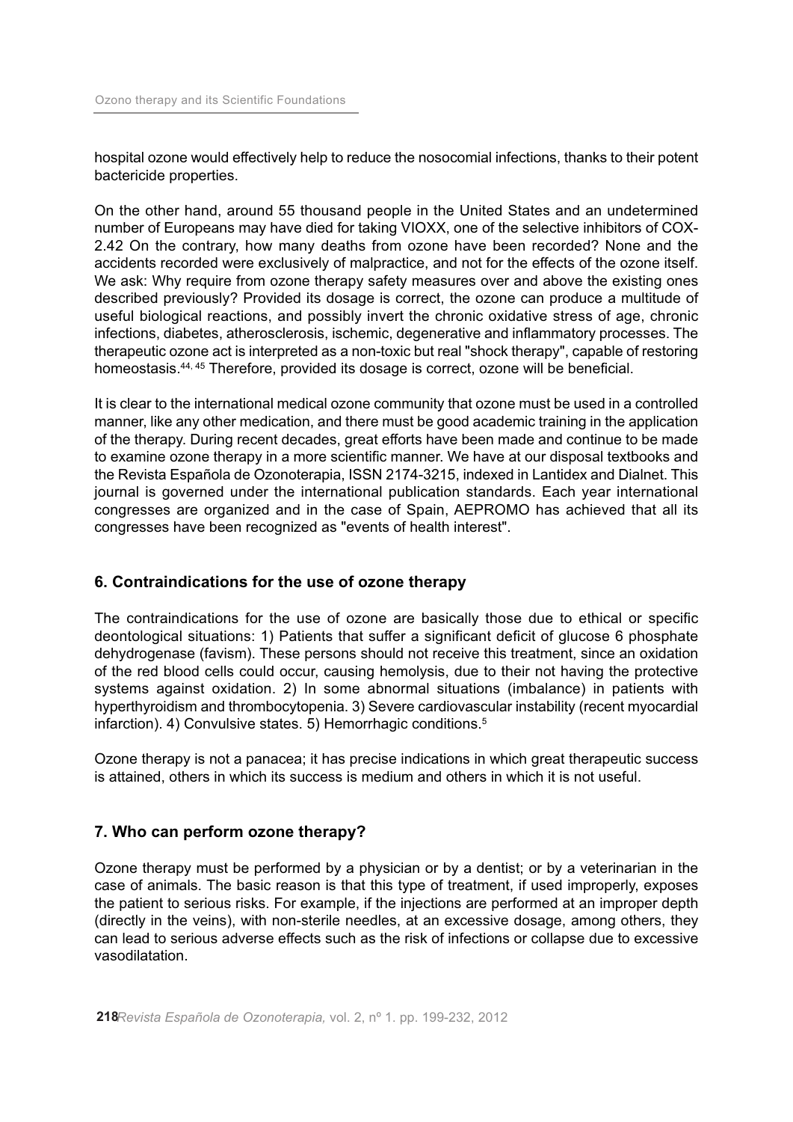hospital ozone would effectively help to reduce the nosocomial infections, thanks to their potent bactericide properties.

On the other hand, around 55 thousand people in the United States and an undetermined number of Europeans may have died for taking VIOXX, one of the selective inhibitors of COX-2.42 On the contrary, how many deaths from ozone have been recorded? None and the accidents recorded were exclusively of malpractice, and not for the effects of the ozone itself. We ask: Why require from ozone therapy safety measures over and above the existing ones described previously? Provided its dosage is correct, the ozone can produce a multitude of useful biological reactions, and possibly invert the chronic oxidative stress of age, chronic infections, diabetes, atherosclerosis, ischemic, degenerative and inflammatory processes. The therapeutic ozone act is interpreted as a non-toxic but real "shock therapy", capable of restoring homeostasis. 44, <sup>45</sup> Therefore, provided its dosage is correct, ozone will be beneficial.

It is clear to the international medical ozone community that ozone must be used in a controlled manner, like any other medication, and there must be good academic training in the application of the therapy. During recent decades, great efforts have been made and continue to be made to examine ozone therapy in a more scientific manner. We have at our disposal textbooks and the Revista Española de Ozonoterapia, ISSN 2174-3215, indexed in Lantidex and Dialnet. This journal is governed under the international publication standards. Each year international congresses are organized and in the case of Spain, AEPROMO has achieved that all its congresses have been recognized as "events of health interest".

## **6. Contraindications for the use of ozone therapy**

The contraindications for the use of ozone are basically those due to ethical or specific deontological situations: 1) Patients that suffer a significant deficit of glucose 6 phosphate dehydrogenase (favism). These persons should not receive this treatment, since an oxidation of the red blood cells could occur, causing hemolysis, due to their not having the protective systems against oxidation. 2) In some abnormal situations (imbalance) in patients with hyperthyroidism and thrombocytopenia. 3) Severe cardiovascular instability (recent myocardial infarction). 4) Convulsive states. 5) Hemorrhagic conditions. 5

Ozone therapy is not a panacea; it has precise indications in which great therapeutic success is attained, others in which its success is medium and others in which it is not useful.

## **7. Who can perform ozone therapy?**

Ozone therapy must be performed by a physician or by a dentist; or by a veterinarian in the case of animals. The basic reason is that this type of treatment, if used improperly, exposes the patient to serious risks. For example, if the injections are performed at an improper depth (directly in the veins), with non-sterile needles, at an excessive dosage, among others, they can lead to serious adverse effects such as the risk of infections or collapse due to excessive vasodilatation.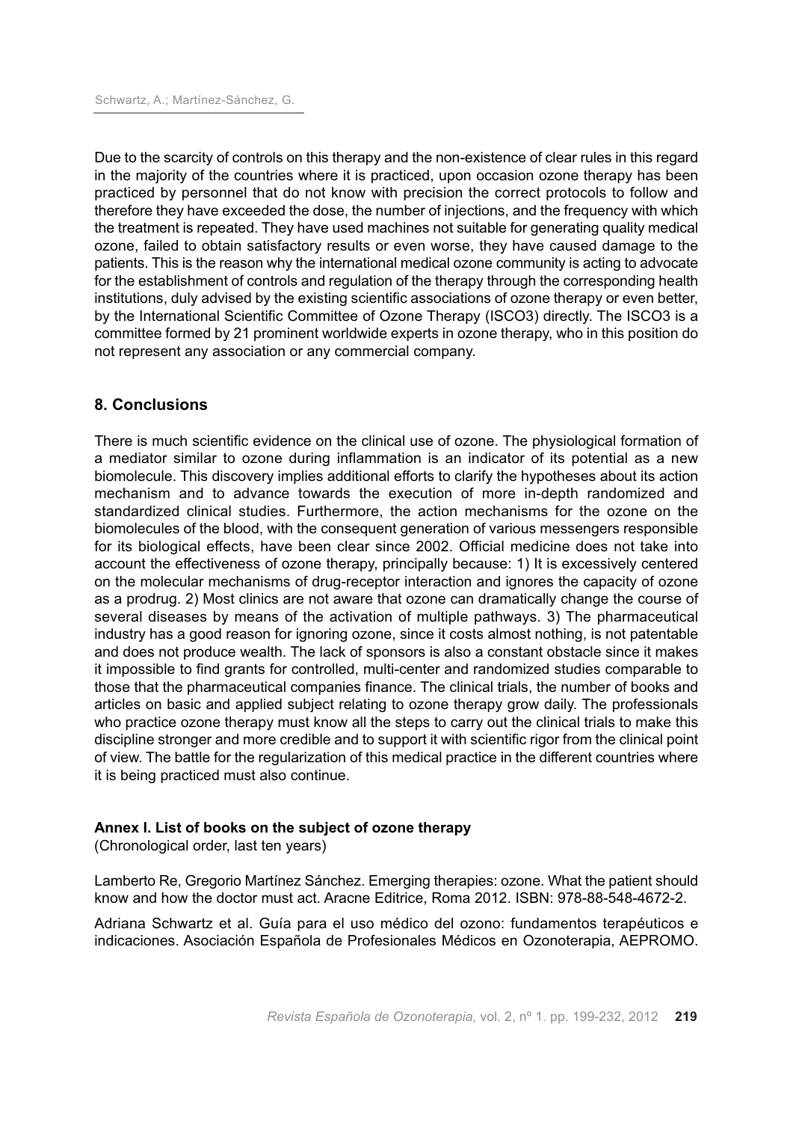Due to the scarcity of controls on this therapy and the non-existence of clear rules in this regard in the majority of the countries where it is practiced, upon occasion ozone therapy has been practiced by personnel that do not know with precision the correct protocols to follow and therefore they have exceeded the dose, the number of injections, and the frequency with which the treatment is repeated. They have used machines not suitable for generating quality medical ozone, failed to obtain satisfactory results or even worse, they have caused damage to the patients. This is the reason why the international medical ozone community is acting to advocate for the establishment of controls and regulation of the therapy through the corresponding health institutions, duly advised by the existing scientific associations of ozone therapy or even better, by the International Scientific Committee of Ozone Therapy (ISCO3) directly. The ISCO3 is a committee formed by 21 prominent worldwide experts in ozone therapy, who in this position do not represent any association or any commercial company.

## **8. Conclusions**

There is much scientific evidence on the clinical use of ozone. The physiological formation of a mediator similar to ozone during inflammation is an indicator of its potential as a new biomolecule. This discovery implies additional efforts to clarify the hypotheses about its action mechanism and to advance towards the execution of more in-depth randomized and standardized clinical studies. Furthermore, the action mechanisms for the ozone on the biomolecules of the blood, with the consequent generation of various messengers responsible for its biological effects, have been clear since 2002. Official medicine does not take into account the effectiveness of ozone therapy, principally because: 1) It is excessively centered on the molecular mechanisms of drug-receptor interaction and ignores the capacity of ozone as a prodrug. 2) Most clinics are not aware that ozone can dramatically change the course of several diseases by means of the activation of multiple pathways. 3) The pharmaceutical industry has a good reason for ignoring ozone, since it costs almost nothing, is not patentable and does not produce wealth. The lack of sponsors is also a constant obstacle since it makes it impossible to find grants for controlled, multi-center and randomized studies comparable to those that the pharmaceutical companies finance. The clinical trials, the number of books and articles on basic and applied subject relating to ozone therapy grow daily. The professionals who practice ozone therapy must know all the steps to carry out the clinical trials to make this discipline stronger and more credible and to support it with scientific rigor from the clinical point of view. The battle for the regularization of this medical practice in the different countries where it is being practiced must also continue.

#### **Annex I. List of books on the subject of ozone therapy**

(Chronological order, last ten years)

Lamberto Re, Gregorio Martínez Sánchez. Emerging therapies: ozone. What the patient should know and how the doctor must act. Aracne Editrice, Roma 2012. ISBN: 978-88-548-4672-2.

Adriana Schwartz et al. Guía para el uso médico del ozono: fundamentos terapéuticos e indicaciones. Asociación Española de Profesionales Médicos en Ozonoterapia, AEPROMO.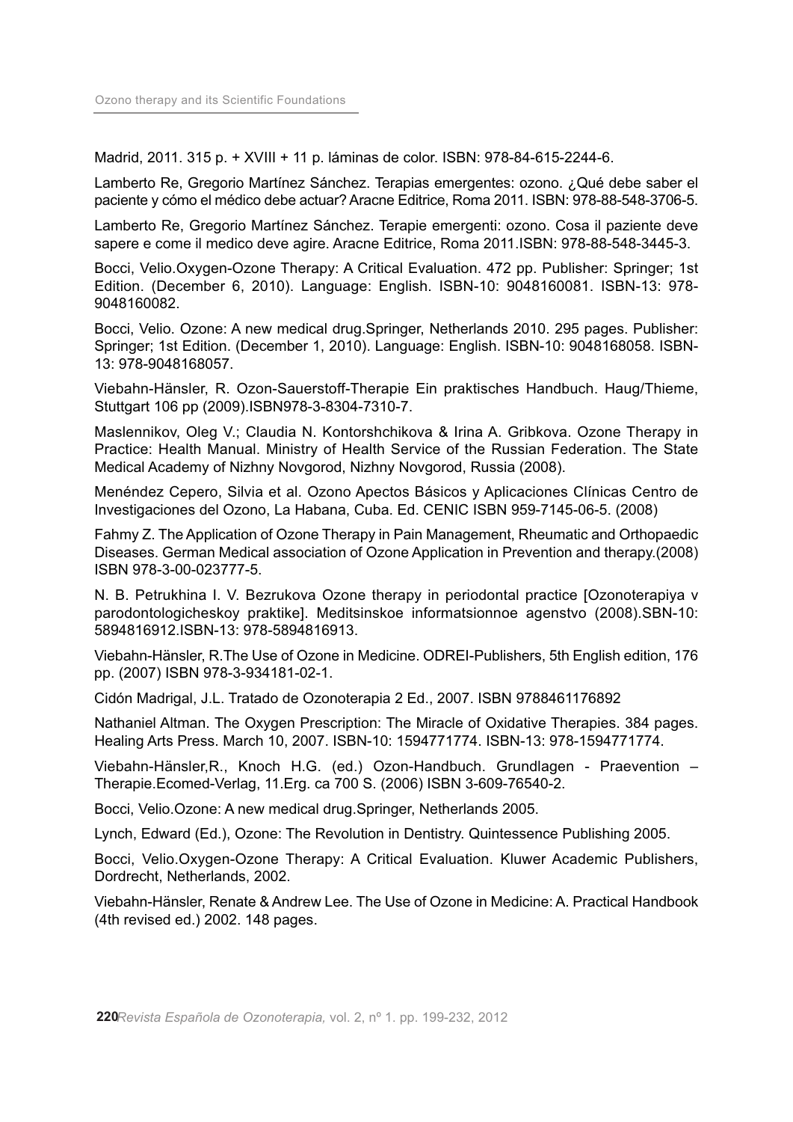Madrid, 2011. 315 p. + XVIII + 11 p. láminas de color. ISBN: 978-84-615-2244-6.

Lamberto Re, Gregorio Martínez Sánchez. Terapias emergentes: ozono. ¿Qué debe saber el paciente y cómo el médico debe actuar? Aracne Editrice, Roma 2011. ISBN: 978-88-548-3706-5.

Lamberto Re, Gregorio Martínez Sánchez. Terapie emergenti: ozono. Cosa il paziente deve sapere e come il medico deve agire. Aracne Editrice, Roma 2011.ISBN: 978-88-548-3445-3.

Bocci, Velio.Oxygen-Ozone Therapy: A Critical Evaluation. 472 pp. Publisher: Springer; 1st Edition. (December 6, 2010). Language: English. ISBN-10: 9048160081. ISBN-13: 978- 9048160082.

Bocci, Velio. Ozone: A new medical drug.Springer, Netherlands 2010. 295 pages. Publisher: Springer; 1st Edition. (December 1, 2010). Language: English. ISBN-10: 9048168058. ISBN-13: 978-9048168057.

Viebahn-Hänsler, R. Ozon-Sauerstoff-Therapie Ein praktisches Handbuch. Haug/Thieme, Stuttgart 106 pp (2009).ISBN978-3-8304-7310-7.

Maslennikov, Oleg V.; Claudia N. Kontorshchikova & Irina A. Gribkova. Ozone Therapy in Practice: Health Manual. Ministry of Health Service of the Russian Federation. The State Medical Academy of Nizhny Novgorod, Nizhny Novgorod, Russia (2008).

Menéndez Cepero, Silvia et al. Ozono Apectos Básicos y Aplicaciones Clínicas Centro de Investigaciones del Ozono, La Habana, Cuba. Ed. CENIC ISBN 959-7145-06-5. (2008)

Fahmy Z. The Application of Ozone Therapy in Pain Management, Rheumatic and Orthopaedic Diseases. German Medical association of Ozone Application in Prevention and therapy.(2008) ISBN 978-3-00-023777-5.

N. B. Petrukhina I. V. Bezrukova Ozone therapy in periodontal practice [Ozonoterapiya v parodontologicheskoy praktike]. Meditsinskoe informatsionnoe agenstvo (2008).SBN-10: 5894816912.ISBN-13: 978-5894816913.

Viebahn-Hänsler, R.The Use of Ozone in Medicine. ODREI-Publishers, 5th English edition, 176 pp. (2007) ISBN 978-3-934181-02-1.

Cidón Madrigal, J.L. Tratado de Ozonoterapia 2 Ed., 2007. ISBN 9788461176892

Nathaniel Altman. The Oxygen Prescription: The Miracle of Oxidative Therapies. 384 pages. Healing Arts Press. March 10, 2007. ISBN-10: 1594771774. ISBN-13: 978-1594771774.

Viebahn-Hänsler,R., Knoch H.G. (ed.) Ozon-Handbuch. Grundlagen - Praevention – Therapie.Ecomed-Verlag, 11.Erg. ca 700 S. (2006) ISBN 3-609-76540-2.

Bocci, Velio.Ozone: A new medical drug.Springer, Netherlands 2005.

Lynch, Edward (Ed.), Ozone: The Revolution in Dentistry. Quintessence Publishing 2005.

Bocci, Velio.Oxygen-Ozone Therapy: A Critical Evaluation. Kluwer Academic Publishers, Dordrecht, Netherlands, 2002.

Viebahn-Hänsler, Renate & Andrew Lee. The Use of Ozone in Medicine: A. Practical Handbook (4th revised ed.) 2002. 148 pages.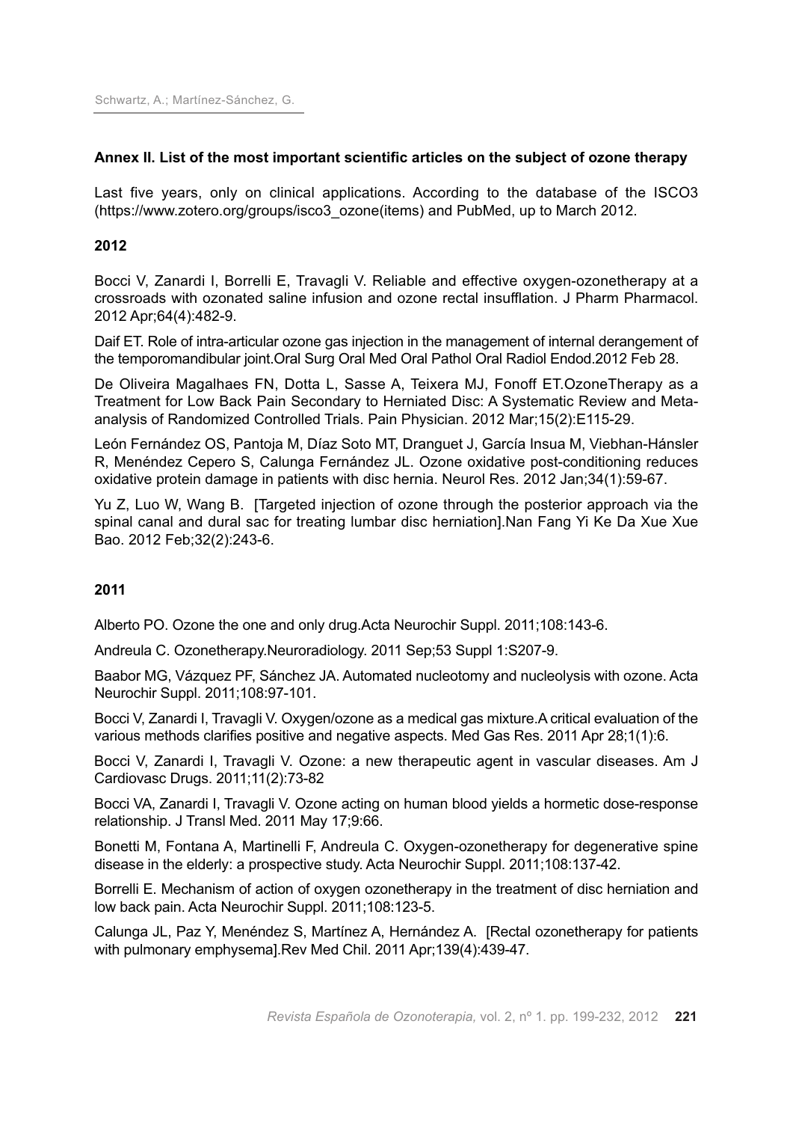## **Annex II. List of the most important scientific articles on the subject of ozone therapy**

Last five years, only on clinical applications. According to the database of the ISCO3 (https://www.zotero.org/groups/isco3\_ozone(items) and PubMed, up to March 2012.

## **2012**

Bocci V, Zanardi I, Borrelli E, Travagli V. Reliable and effective oxygen-ozonetherapy at a crossroads with ozonated saline infusion and ozone rectal insufflation. J Pharm Pharmacol. 2012 Apr;64(4):482-9.

Daif ET. Role of intra-articular ozone gas injection in the management of internal derangement of the temporomandibular joint.Oral Surg Oral Med Oral Pathol Oral Radiol Endod.2012 Feb 28.

De Oliveira Magalhaes FN, Dotta L, Sasse A, Teixera MJ, Fonoff ET.OzoneTherapy as a Treatment for Low Back Pain Secondary to Herniated Disc: A Systematic Review and Metaanalysis of Randomized Controlled Trials. Pain Physician. 2012 Mar;15(2):E115-29.

León Fernández OS, Pantoja M, Díaz Soto MT, Dranguet J, García Insua M, Viebhan-Hánsler R, Menéndez Cepero S, Calunga Fernández JL. Ozone oxidative post-conditioning reduces oxidative protein damage in patients with disc hernia. Neurol Res. 2012 Jan;34(1):59-67.

Yu Z, Luo W, Wang B. [Targeted injection of ozone through the posterior approach via the spinal canal and dural sac for treating lumbar disc herniation].Nan Fang Yi Ke Da Xue Xue Bao. 2012 Feb;32(2):243-6.

## **2011**

Alberto PO. Ozone the one and only drug.Acta Neurochir Suppl. 2011;108:143-6.

Andreula C. Ozonetherapy.Neuroradiology. 2011 Sep;53 Suppl 1:S207-9.

Baabor MG, Vázquez PF, Sánchez JA. Automated nucleotomy and nucleolysis with ozone. Acta Neurochir Suppl. 2011;108:97-101.

Bocci V, Zanardi I, Travagli V. Oxygen/ozone as a medical gas mixture.A critical evaluation of the various methods clarifies positive and negative aspects. Med Gas Res. 2011 Apr 28;1(1):6.

Bocci V, Zanardi I, Travagli V. Ozone: a new therapeutic agent in vascular diseases. Am J Cardiovasc Drugs. 2011;11(2):73-82

Bocci VA, Zanardi I, Travagli V. Ozone acting on human blood yields a hormetic dose-response relationship. J Transl Med. 2011 May 17;9:66.

Bonetti M, Fontana A, Martinelli F, Andreula C. Oxygen-ozonetherapy for degenerative spine disease in the elderly: a prospective study. Acta Neurochir Suppl. 2011;108:137-42.

Borrelli E. Mechanism of action of oxygen ozonetherapy in the treatment of disc herniation and low back pain. Acta Neurochir Suppl. 2011;108:123-5.

Calunga JL, Paz Y, Menéndez S, Martínez A, Hernández A. [Rectal ozonetherapy for patients with pulmonary emphysema].Rev Med Chil. 2011 Apr;139(4):439-47.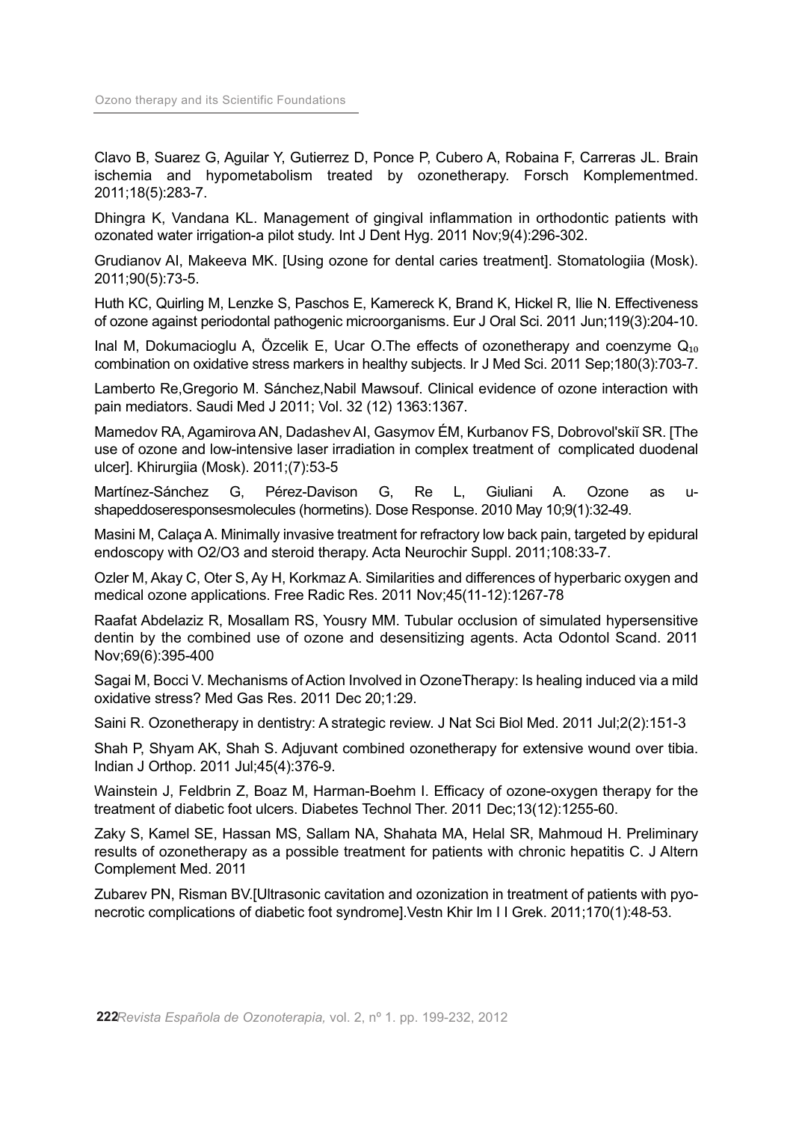Clavo B, Suarez G, Aguilar Y, Gutierrez D, Ponce P, Cubero A, Robaina F, Carreras JL. Brain ischemia and hypometabolism treated by ozonetherapy. Forsch Komplementmed. 2011;18(5):283-7.

Dhingra K, Vandana KL. Management of gingival inflammation in orthodontic patients with ozonated water irrigation-a pilot study. Int J Dent Hyg. 2011 Nov;9(4):296-302.

Grudianov AI, Makeeva MK. [Using ozone for dental caries treatment]. Stomatologiia (Mosk). 2011;90(5):73-5.

Huth KC, Quirling M, Lenzke S, Paschos E, Kamereck K, Brand K, Hickel R, Ilie N. Effectiveness of ozone against periodontal pathogenic microorganisms. Eur J Oral Sci. 2011 Jun;119(3):204-10.

Inal M, Dokumacioglu A, Özcelik E, Ucar O.The effects of ozonetherapy and coenzyme  $Q_{10}$ combination on oxidative stress markers in healthy subjects. Ir J Med Sci. 2011 Sep;180(3):703-7.

Lamberto Re, Gregorio M. Sánchez, Nabil Mawsouf. Clinical evidence of ozone interaction with pain mediators. Saudi Med J 2011; Vol. 32 (12) 1363:1367.

Mamedov RA, Agamirova AN, Dadashev AI, Gasymov ÉM, Kurbanov FS, Dobrovol'skiĭ SR. [The use of ozone and low-intensive laser irradiation in complex treatment of complicated duodenal ulcer]. Khirurgiia (Mosk). 2011;(7):53-5

Martínez-Sánchez G, Pérez-Davison G, Re L, Giuliani A. Ozone as ushapeddoseresponsesmolecules (hormetins). Dose Response. 2010 May 10;9(1):32-49.

Masini M, Calaca A, Minimally invasive treatment for refractory low back pain, targeted by epidural endoscopy with O2/O3 and steroid therapy. Acta Neurochir Suppl. 2011;108:33-7.

Ozler M, Akay C, Oter S, Ay H, Korkmaz A. Similarities and differences of hyperbaric oxygen and medical ozone applications. Free Radic Res. 2011 Nov;45(11-12):1267-78

Raafat Abdelaziz R, Mosallam RS, Yousry MM. Tubular occlusion of simulated hypersensitive dentin by the combined use of ozone and desensitizing agents. Acta Odontol Scand. 2011 Nov;69(6):395-400

Sagai M, Bocci V, Mechanisms of Action Involved in OzoneTherapy: Is healing induced via a mild oxidative stress? Med Gas Res. 2011 Dec 20;1:29.

Saini R. Ozonetherapy in dentistry: A strategic review. J Nat Sci Biol Med. 2011 Jul;2(2):151-3

Shah P, Shyam AK, Shah S. Adjuvant combined ozonetherapy for extensive wound over tibia. Indian J Orthop. 2011 Jul;45(4):376-9.

Wainstein J, Feldbrin Z, Boaz M, Harman-Boehm I. Efficacy of ozone-oxygen therapy for the treatment of diabetic foot ulcers. Diabetes Technol Ther. 2011 Dec;13(12):1255-60.

Zaky S, Kamel SE, Hassan MS, Sallam NA, Shahata MA, Helal SR, Mahmoud H. Preliminary results of ozonetherapy as a possible treatment for patients with chronic hepatitis C. J Altern Complement Med. 2011

Zubarev PN, Risman BV.[Ultrasonic cavitation and ozonization in treatment of patients with pyonecrotic complications of diabetic foot syndrome].Vestn Khir Im I I Grek. 2011;170(1):48-53.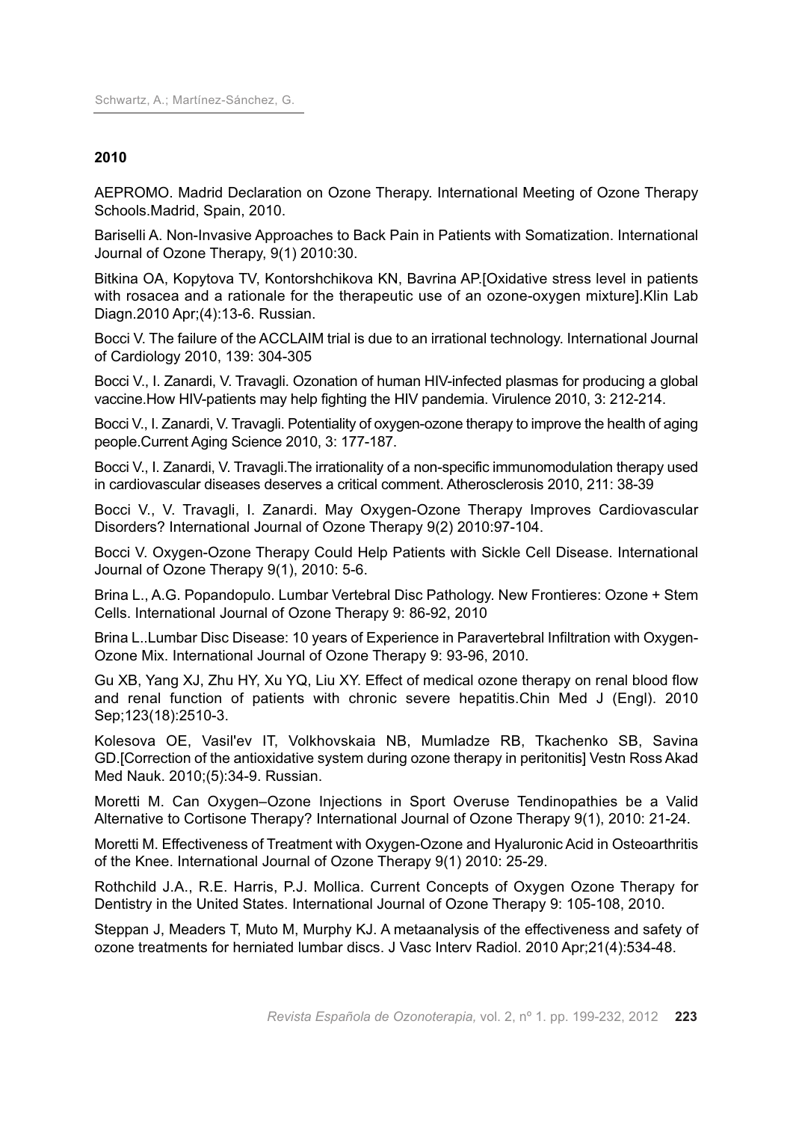## **2010**

AEPROMO. Madrid Declaration on Ozone Therapy. International Meeting of Ozone Therapy Schools.Madrid, Spain, 2010.

Bariselli A. Non-Invasive Approaches to Back Pain in Patients with Somatization. International Journal of Ozone Therapy, 9(1) 2010:30.

Bitkina OA, Kopytova TV, Kontorshchikova KN, Bavrina AP.[Oxidative stress level in patients with rosacea and a rationale for the therapeutic use of an ozone-oxygen mixture].Klin Lab Diagn.2010 Apr;(4):13-6. Russian.

Bocci V. The failure of the ACCLAIM trial is due to an irrational technology. International Journal of Cardiology 2010, 139: 304-305

Bocci V., I. Zanardi, V. Travagli. Ozonation of human HIV-infected plasmas for producing a global vaccine.How HIV-patients may help fighting the HIV pandemia. Virulence 2010, 3: 212-214.

Bocci V., I. Zanardi, V. Travagli. Potentiality of oxygen-ozone therapy to improve the health of aging people.Current Aging Science 2010, 3: 177-187.

Bocci V., I. Zanardi, V. Travagli. The irrationality of a non-specific immunomodulation therapy used in cardiovascular diseases deserves a critical comment. Atherosclerosis 2010, 211: 38-39

Bocci V., V. Travagli, I. Zanardi. May Oxygen-Ozone Therapy Improves Cardiovascular Disorders? International Journal of Ozone Therapy 9(2) 2010:97-104.

Bocci V. Oxygen-Ozone Therapy Could Help Patients with Sickle Cell Disease. International Journal of Ozone Therapy 9(1), 2010: 5-6.

Brina L., A.G. Popandopulo. Lumbar Vertebral Disc Pathology. New Frontieres: Ozone + Stem Cells. International Journal of Ozone Therapy 9: 86-92, 2010

Brina L..Lumbar Disc Disease: 10 years of Experience in Paravertebral Infiltration with Oxygen-Ozone Mix. International Journal of Ozone Therapy 9: 93-96, 2010.

Gu XB, Yang XJ, Zhu HY, Xu YQ, Liu XY. Effect of medical ozone therapy on renal blood flow and renal function of patients with chronic severe hepatitis.Chin Med J (Engl). 2010 Sep;123(18):2510-3.

Kolesova OE, Vasil'ev IT, Volkhovskaia NB, Mumladze RB, Tkachenko SB, Savina GD.[Correction of the antioxidative system during ozone therapy in peritonitis] Vestn Ross Akad Med Nauk. 2010;(5):34-9. Russian.

Moretti M. Can Oxygen–Ozone Injections in Sport Overuse Tendinopathies be a Valid Alternative to Cortisone Therapy? International Journal of Ozone Therapy 9(1), 2010: 21-24.

Moretti M. Effectiveness of Treatment with Oxygen-Ozone and Hyaluronic Acid in Osteoarthritis of the Knee. International Journal of Ozone Therapy 9(1) 2010: 25-29.

Rothchild J.A., R.E. Harris, P.J. Mollica. Current Concepts of Oxygen Ozone Therapy for Dentistry in the United States. International Journal of Ozone Therapy 9: 105-108, 2010.

Steppan J, Meaders T, Muto M, Murphy KJ. A metaanalysis of the effectiveness and safety of ozone treatments for herniated lumbar discs. J Vasc Interv Radiol. 2010 Apr;21(4):534-48.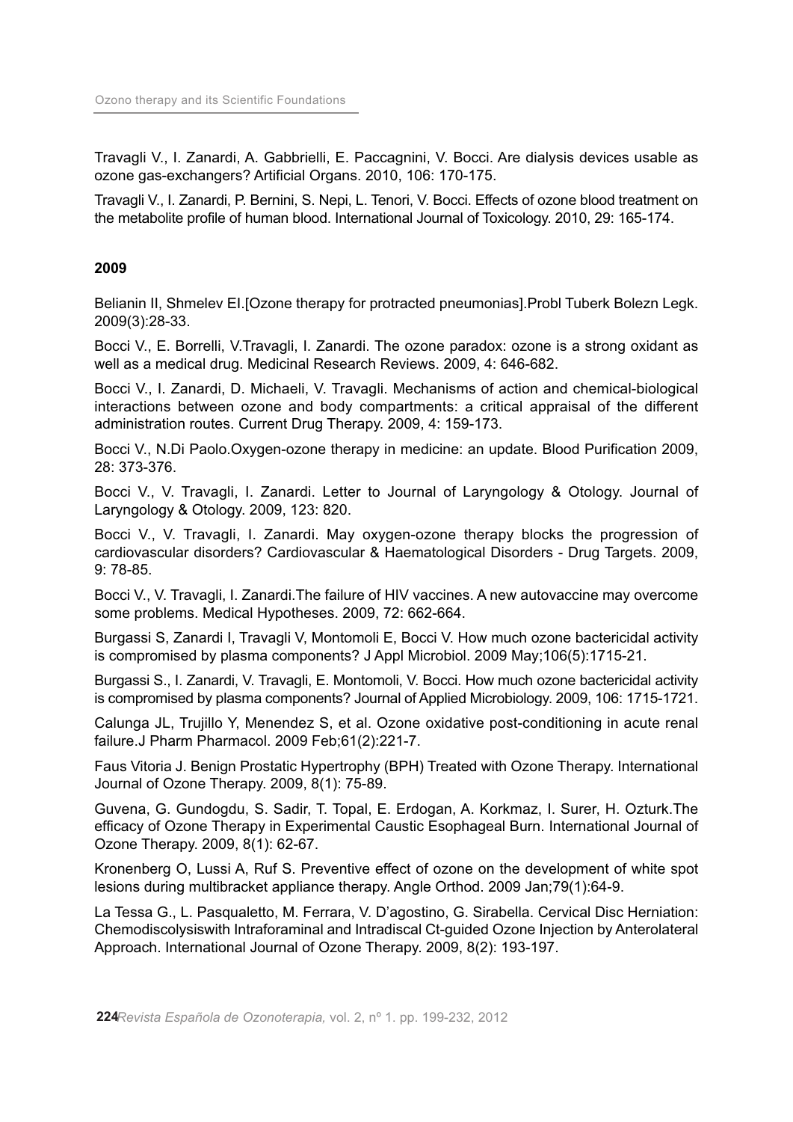Travagli V., I. Zanardi, A. Gabbrielli, E. Paccagnini, V. Bocci. Are dialysis devices usable as ozone gas-exchangers? Artificial Organs. 2010, 106: 170-175.

Travagli V., I. Zanardi, P. Bernini, S. Nepi, L. Tenori, V. Bocci. Effects of ozone blood treatment on the metabolite profile of human blood. International Journal of Toxicology. 2010, 29: 165-174.

#### **2009**

Belianin II, Shmelev EI.[Ozone therapy for protracted pneumonias].Probl Tuberk Bolezn Legk. 2009(3):28-33.

Bocci V., E. Borrelli, V.Travagli, I. Zanardi. The ozone paradox: ozone is a strong oxidant as well as a medical drug. Medicinal Research Reviews. 2009, 4: 646-682.

Bocci V., I. Zanardi, D. Michaeli, V. Travagli. Mechanisms of action and chemical-biological interactions between ozone and body compartments: a critical appraisal of the different administration routes. Current Drug Therapy. 2009, 4: 159-173.

Bocci V., N.Di Paolo.Oxygen-ozone therapy in medicine: an update. Blood Purification 2009, 28: 373-376.

Bocci V., V. Travagli, I. Zanardi. Letter to Journal of Laryngology & Otology. Journal of Laryngology & Otology. 2009, 123: 820.

Bocci V., V. Travagli, I. Zanardi. May oxygen-ozone therapy blocks the progression of cardiovascular disorders? Cardiovascular & Haematological Disorders - Drug Targets. 2009, 9: 78-85.

Bocci V., V. Travagli, I. Zanardi.The failure of HIV vaccines. A new autovaccine may overcome some problems. Medical Hypotheses. 2009, 72: 662-664.

Burgassi S, Zanardi I, Travagli V, Montomoli E, Bocci V. How much ozone bactericidal activity is compromised by plasma components? J Appl Microbiol. 2009 May;106(5):1715-21.

Burgassi S., I. Zanardi, V. Travagli, E. Montomoli, V. Bocci. How much ozone bactericidal activity is compromised by plasma components? Journal of Applied Microbiology. 2009, 106: 1715-1721.

Calunga JL, Trujillo Y, Menendez S, et al. Ozone oxidative post-conditioning in acute renal failure.J Pharm Pharmacol. 2009 Feb;61(2):221-7.

Faus Vitoria J. Benign Prostatic Hypertrophy (BPH) Treated with Ozone Therapy. International Journal of Ozone Therapy. 2009, 8(1): 75-89.

Guvena, G. Gundogdu, S. Sadir, T. Topal, E. Erdogan, A. Korkmaz, I. Surer, H. Ozturk.The efficacy of Ozone Therapy in Experimental Caustic Esophageal Burn. International Journal of Ozone Therapy. 2009, 8(1): 62-67.

Kronenberg O, Lussi A, Ruf S. Preventive effect of ozone on the development of white spot lesions during multibracket appliance therapy. Angle Orthod. 2009 Jan;79(1):64-9.

La Tessa G., L. Pasqualetto, M. Ferrara, V. D'agostino, G. Sirabella. Cervical Disc Herniation: Chemodiscolysiswith Intraforaminal and Intradiscal Ct-guided Ozone Injection by Anterolateral Approach. International Journal of Ozone Therapy. 2009, 8(2): 193-197.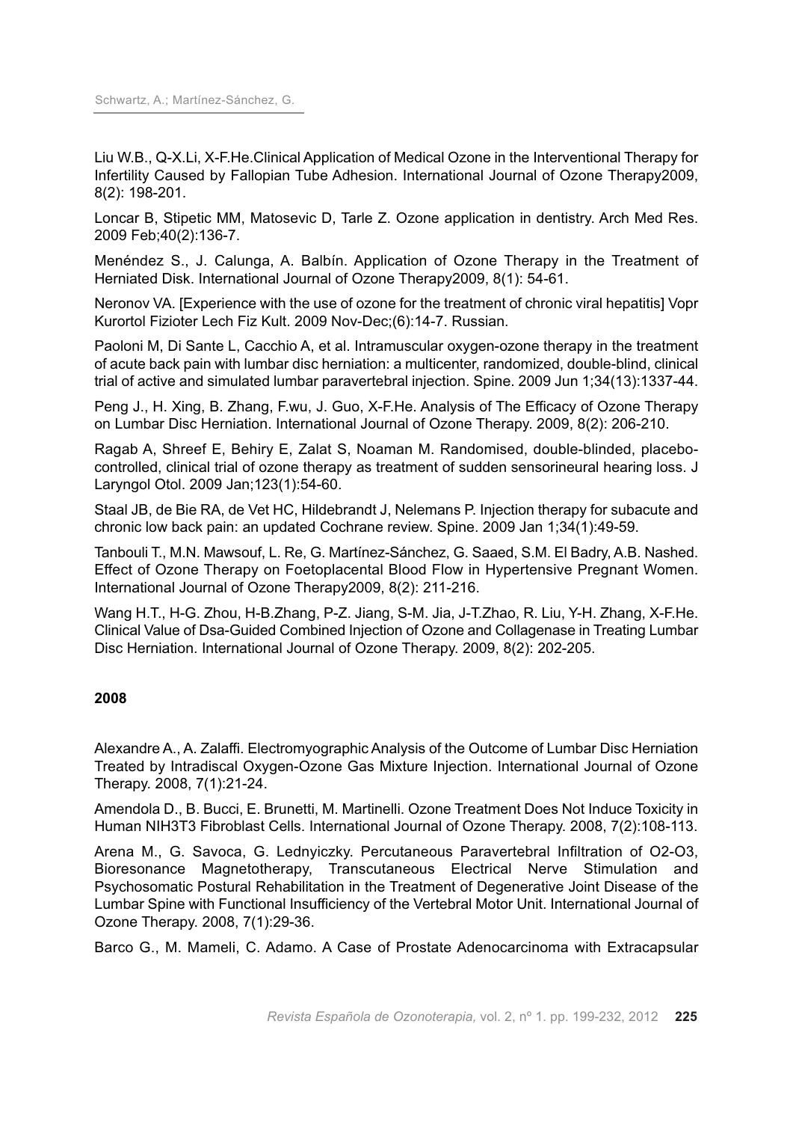Liu W.B., Q-X.Li, X-F.He.Clinical Application of Medical Ozone in the Interventional Therapy for Infertility Caused by Fallopian Tube Adhesion. International Journal of Ozone Therapy2009, 8(2): 198-201.

Loncar B, Stipetic MM, Matosevic D, Tarle Z. Ozone application in dentistry. Arch Med Res. 2009 Feb;40(2):136-7.

Menéndez S., J. Calunga, A. Balbín. Application of Ozone Therapy in the Treatment of Herniated Disk. International Journal of Ozone Therapy2009, 8(1): 54-61.

Neronov VA. [Experience with the use of ozone for the treatment of chronic viral hepatitis] Vopr Kurortol Fizioter Lech Fiz Kult. 2009 Nov-Dec;(6):14-7. Russian.

Paoloni M, Di Sante L, Cacchio A, et al. Intramuscular oxygen-ozone therapy in the treatment of acute back pain with lumbar disc herniation: a multicenter, randomized, double-blind, clinical trial of active and simulated lumbar paravertebral injection. Spine. 2009 Jun 1;34(13):1337-44.

Peng J., H. Xing, B. Zhang, F.wu, J. Guo, X-F.He. Analysis of The Efficacy of Ozone Therapy on Lumbar Disc Herniation. International Journal of Ozone Therapy. 2009, 8(2): 206-210.

Ragab A, Shreef E, Behiry E, Zalat S, Noaman M. Randomised, double-blinded, placebocontrolled, clinical trial of ozone therapy as treatment of sudden sensorineural hearing loss. J Laryngol Otol. 2009 Jan;123(1):54-60.

Staal JB, de Bie RA, de Vet HC, Hildebrandt J, Nelemans P. Injection therapy for subacute and chronic low back pain: an updated Cochrane review. Spine. 2009 Jan 1;34(1):49-59.

Tanbouli T., M.N. Mawsouf, L. Re, G. Martínez-Sánchez, G. Saaed, S.M. El Badry, A.B. Nashed. Effect of Ozone Therapy on Foetoplacental Blood Flow in Hypertensive Pregnant Women. International Journal of Ozone Therapy2009, 8(2): 211-216.

Wang H.T., H-G. Zhou, H-B.Zhang, P-Z. Jiang, S-M. Jia, J-T.Zhao, R. Liu, Y-H. Zhang, X-F.He. Clinical Value of Dsa-Guided Combined Injection of Ozone and Collagenase in Treating Lumbar Disc Herniation. International Journal of Ozone Therapy. 2009, 8(2): 202-205.

## **2008**

Alexandre A., A. Zalaffi. Electromyographic Analysis of the Outcome of Lumbar Disc Herniation Treated by Intradiscal Oxygen-Ozone Gas Mixture Injection. International Journal of Ozone Therapy. 2008, 7(1):21-24.

Amendola D., B. Bucci, E. Brunetti, M. Martinelli. Ozone Treatment Does Not Induce Toxicity in Human NIH3T3 Fibroblast Cells. International Journal of Ozone Therapy. 2008, 7(2):108-113.

Arena M., G. Savoca, G. Lednyiczky. Percutaneous Paravertebral Infiltration of O2-O3, Bioresonance Magnetotherapy, Transcutaneous Electrical Nerve Stimulation and Psychosomatic Postural Rehabilitation in the Treatment of Degenerative Joint Disease of the Lumbar Spine with Functional Insufficiency of the Vertebral Motor Unit. International Journal of Ozone Therapy. 2008, 7(1):29-36.

Barco G., M. Mameli, C. Adamo. A Case of Prostate Adenocarcinoma with Extracapsular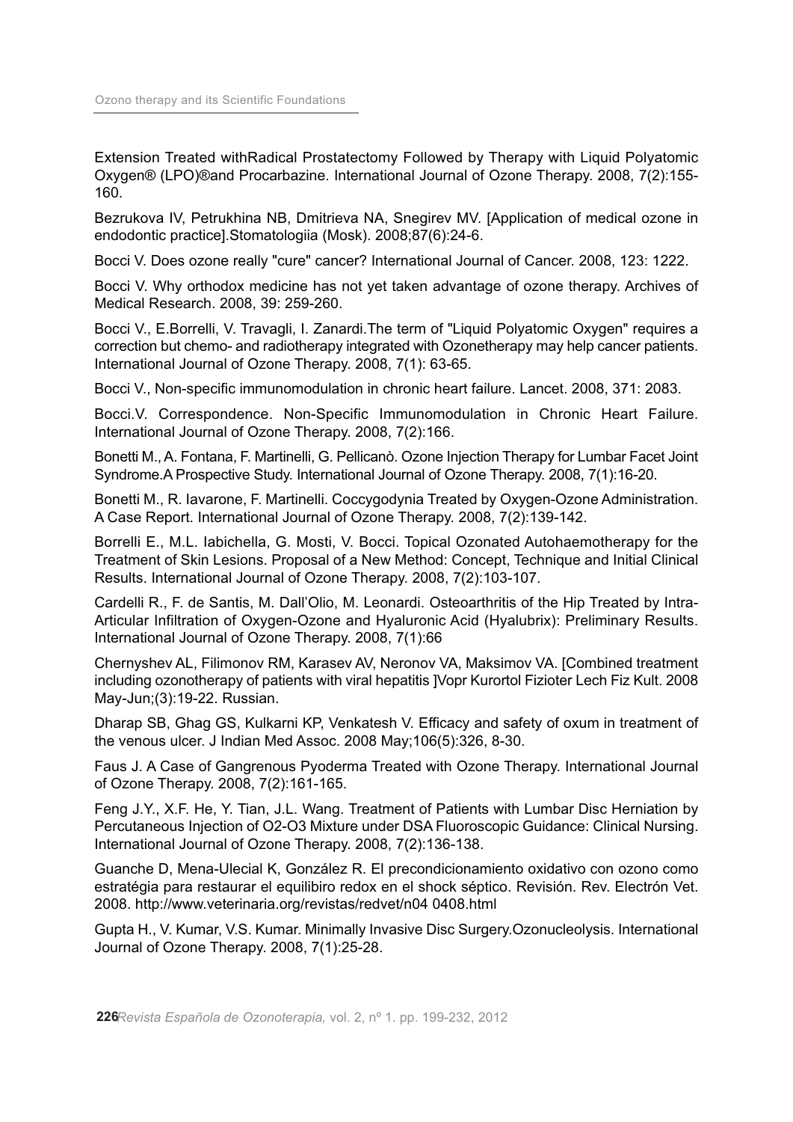Extension Treated withRadical Prostatectomy Followed by Therapy with Liquid Polyatomic Oxygen® (LPO)®and Procarbazine. International Journal of Ozone Therapy. 2008, 7(2):155- 160.

Bezrukova IV, Petrukhina NB, Dmitrieva NA, Snegirev MV. [Application of medical ozone in endodontic practice].Stomatologiia (Mosk). 2008;87(6):24-6.

Bocci V. Does ozone really "cure" cancer? International Journal of Cancer. 2008, 123: 1222.

Bocci V. Why orthodox medicine has not yet taken advantage of ozone therapy. Archives of Medical Research. 2008, 39: 259-260.

Bocci V., E.Borrelli, V. Travagli, I. Zanardi.The term of "Liquid Polyatomic Oxygen" requires a correction but chemo- and radiotherapy integrated with Ozonetherapy may help cancer patients. International Journal of Ozone Therapy. 2008, 7(1): 63-65.

Bocci V., Non-specific immunomodulation in chronic heart failure. Lancet. 2008, 371: 2083.

Bocci.V. Correspondence. Non-Specific Immunomodulation in Chronic Heart Failure. International Journal of Ozone Therapy. 2008, 7(2):166.

Bonetti M.,A. Fontana, F. Martinelli, G. Pellicanò. Ozone Injection Therapy for Lumbar Facet Joint Syndrome.A Prospective Study. International Journal of Ozone Therapy. 2008, 7(1):16-20.

Bonetti M., R. Iavarone, F. Martinelli. Coccygodynia Treated by Oxygen-Ozone Administration. A Case Report. International Journal of Ozone Therapy. 2008, 7(2):139-142.

Borrelli E., M.L. Iabichella, G. Mosti, V. Bocci. Topical Ozonated Autohaemotherapy for the Treatment of Skin Lesions. Proposal of a New Method: Concept, Technique and Initial Clinical Results. International Journal of Ozone Therapy. 2008, 7(2):103-107.

Cardelli R., F. de Santis, M. Dall'Olio, M. Leonardi. Osteoarthritis of the Hip Treated by Intra-Articular Infiltration of Oxygen-Ozone and Hyaluronic Acid (Hyalubrix): Preliminary Results. International Journal of Ozone Therapy. 2008, 7(1):66

Chernyshev AL, Filimonov RM, Karasev AV, Neronov VA, Maksimov VA. [Combined treatment including ozonotherapy of patients with viral hepatitis ]Vopr Kurortol Fizioter Lech Fiz Kult. 2008 May-Jun;(3):19-22. Russian.

Dharap SB, Ghag GS, Kulkarni KP, Venkatesh V. Efficacy and safety of oxum in treatment of the venous ulcer. J Indian Med Assoc. 2008 May;106(5):326, 8-30.

Faus J. A Case of Gangrenous Pyoderma Treated with Ozone Therapy. International Journal of Ozone Therapy. 2008, 7(2):161-165.

Feng J.Y., X.F. He, Y. Tian, J.L. Wang. Treatment of Patients with Lumbar Disc Herniation by Percutaneous Injection of O2-O3 Mixture under DSA Fluoroscopic Guidance: Clinical Nursing. International Journal of Ozone Therapy. 2008, 7(2):136-138.

Guanche D, Mena-Ulecial K, González R. El precondicionamiento oxidativo con ozono como estratégia para restaurar el equilibiro redox en el shock séptico. Revisión. Rev. Electrón Vet. 2008. http://www.veterinaria.org/revistas/redvet/n04 0408.html

Gupta H., V. Kumar, V.S. Kumar. Minimally Invasive Disc Surgery.Ozonucleolysis. International Journal of Ozone Therapy. 2008, 7(1):25-28.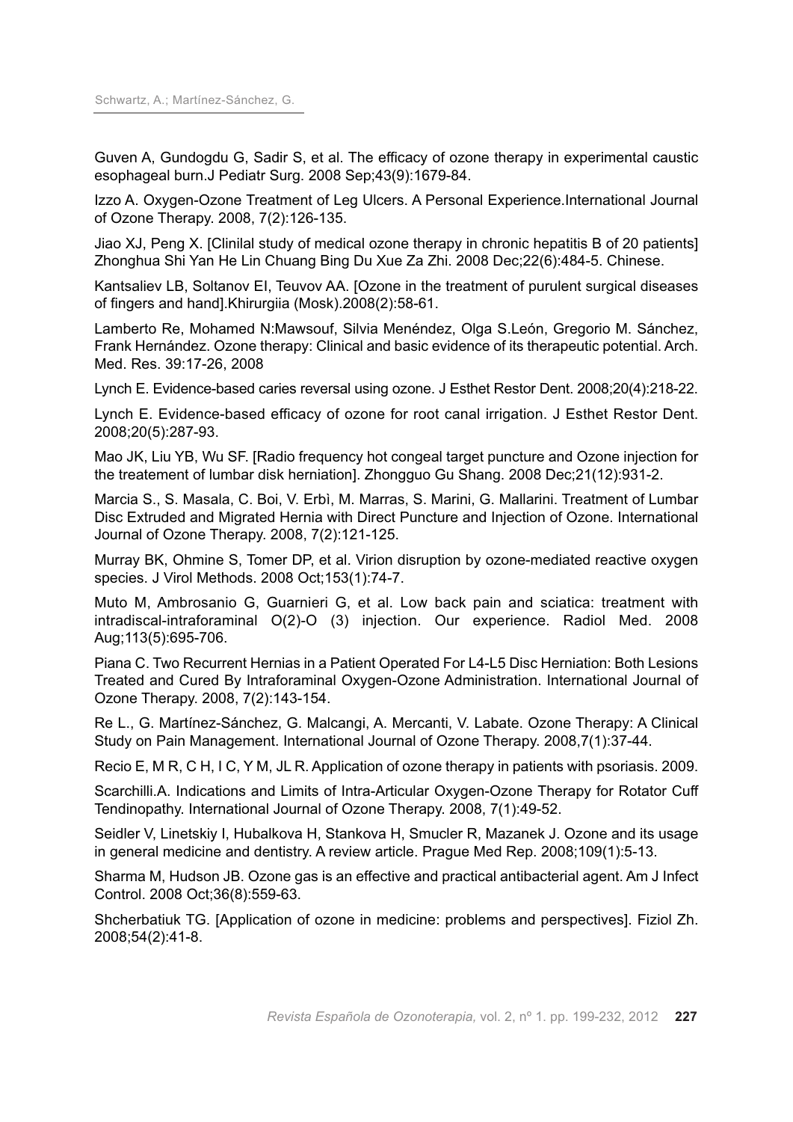Guven A, Gundogdu G, Sadir S, et al. The efficacy of ozone therapy in experimental caustic esophageal burn.J Pediatr Surg. 2008 Sep;43(9):1679-84.

Izzo A. Oxygen-Ozone Treatment of Leg Ulcers. A Personal Experience.International Journal of Ozone Therapy. 2008, 7(2):126-135.

Jiao XJ, Peng X. [Clinilal study of medical ozone therapy in chronic hepatitis B of 20 patients] Zhonghua Shi Yan He Lin Chuang Bing Du Xue Za Zhi. 2008 Dec;22(6):484-5. Chinese.

Kantsaliev LB, Soltanov EI, Teuvov AA. [Ozone in the treatment of purulent surgical diseases of fingers and hand].Khirurgiia (Mosk).2008(2):58-61.

Lamberto Re, Mohamed N:Mawsouf, Silvia Menéndez, Olga S.León, Gregorio M. Sánchez, Frank Hernández. Ozone therapy: Clinical and basic evidence of its therapeutic potential. Arch. Med. Res. 39:17-26, 2008

Lynch E. Evidence-based caries reversal using ozone. J Esthet Restor Dent. 2008;20(4):218-22.

Lynch E. Evidence-based efficacy of ozone for root canal irrigation. J Esthet Restor Dent. 2008;20(5):287-93.

Mao JK, Liu YB, Wu SF. [Radio frequency hot congeal target puncture and Ozone injection for the treatement of lumbar disk herniation]. Zhongguo Gu Shang. 2008 Dec;21(12):931-2.

Marcia S., S. Masala, C. Boi, V. Erbì, M. Marras, S. Marini, G. Mallarini. Treatment of Lumbar Disc Extruded and Migrated Hernia with Direct Puncture and Injection of Ozone. International Journal of Ozone Therapy. 2008, 7(2):121-125.

Murray BK, Ohmine S, Tomer DP, et al. Virion disruption by ozone-mediated reactive oxygen species. J Virol Methods. 2008 Oct;153(1):74-7.

Muto M, Ambrosanio G, Guarnieri G, et al. Low back pain and sciatica: treatment with intradiscal-intraforaminal O(2)-O (3) injection. Our experience. Radiol Med. 2008 Aug;113(5):695-706.

Piana C. Two Recurrent Hernias in a Patient Operated For L4-L5 Disc Herniation: Both Lesions Treated and Cured By Intraforaminal Oxygen-Ozone Administration. International Journal of Ozone Therapy. 2008, 7(2):143-154.

Re L., G. Martínez-Sánchez, G. Malcangi, A. Mercanti, V. Labate. Ozone Therapy: A Clinical Study on Pain Management. International Journal of Ozone Therapy. 2008,7(1):37-44.

Recio E, M R, C H, I C, Y M, JL R. Application of ozone therapy in patients with psoriasis. 2009.

Scarchilli.A. Indications and Limits of Intra-Articular Oxygen-Ozone Therapy for Rotator Cuff Tendinopathy. International Journal of Ozone Therapy. 2008, 7(1):49-52.

Seidler V, Linetskiy I, Hubalkova H, Stankova H, Smucler R, Mazanek J. Ozone and its usage in general medicine and dentistry. A review article. Prague Med Rep. 2008;109(1):5-13.

Sharma M, Hudson JB. Ozone gas is an effective and practical antibacterial agent. Am J Infect Control. 2008 Oct;36(8):559-63.

Shcherbatiuk TG. [Application of ozone in medicine: problems and perspectives]. Fiziol Zh. 2008;54(2):41-8.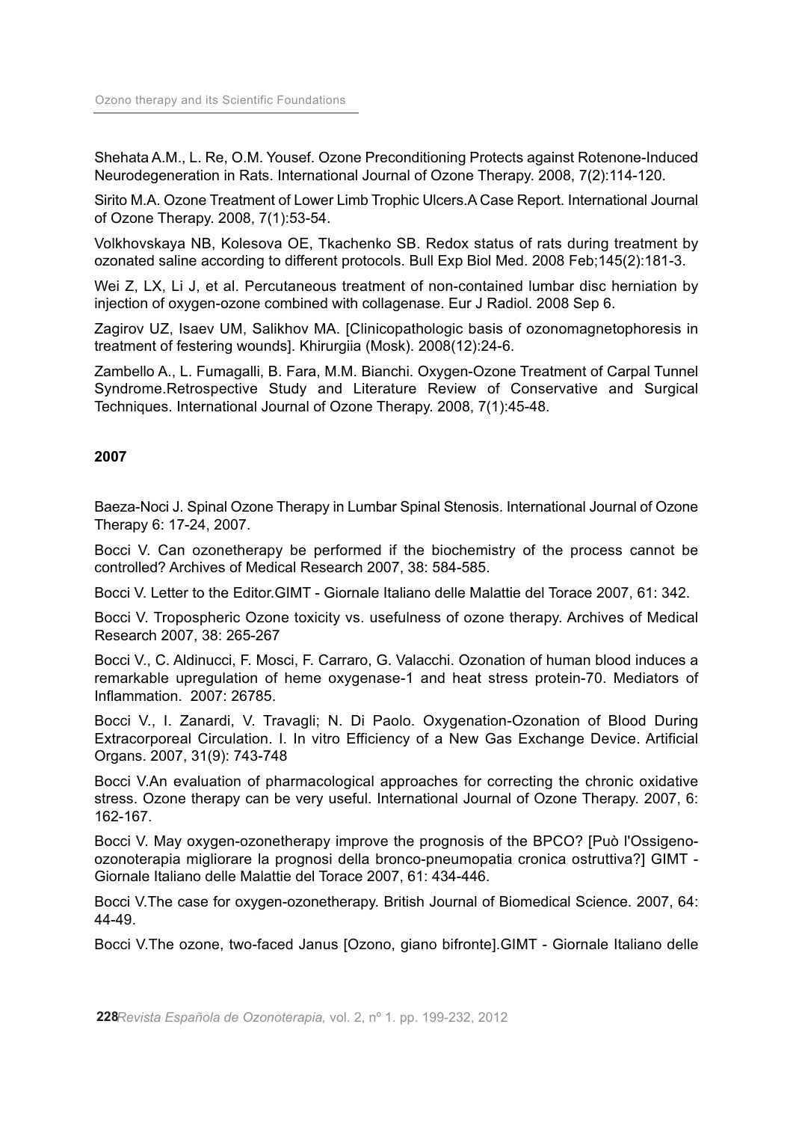Shehata A.M., L. Re, O.M. Yousef. Ozone Preconditioning Protects against Rotenone-Induced Neurodegeneration in Rats. International Journal of Ozone Therapy. 2008, 7(2):114-120.

Sirito M.A. Ozone Treatment of Lower Limb Trophic Ulcers.A Case Report. International Journal of Ozone Therapy. 2008, 7(1):53-54.

Volkhovskaya NB, Kolesova OE, Tkachenko SB. Redox status of rats during treatment by ozonated saline according to different protocols. Bull Exp Biol Med. 2008 Feb;145(2):181-3.

Wei Z, LX, Li J, et al. Percutaneous treatment of non-contained lumbar disc herniation by injection of oxygen-ozone combined with collagenase. Eur J Radiol. 2008 Sep 6.

Zagirov UZ, Isaev UM, Salikhov MA. [Clinicopathologic basis of ozonomagnetophoresis in treatment of festering wounds]. Khirurgiia (Mosk). 2008(12):24-6.

Zambello A., L. Fumagalli, B. Fara, M.M. Bianchi. Oxygen-Ozone Treatment of Carpal Tunnel Syndrome.Retrospective Study and Literature Review of Conservative and Surgical Techniques. International Journal of Ozone Therapy. 2008, 7(1):45-48.

## **2007**

Baeza-Noci J. Spinal Ozone Therapy in Lumbar Spinal Stenosis. International Journal of Ozone Therapy 6: 17-24, 2007.

Bocci V. Can ozonetherapy be performed if the biochemistry of the process cannot be controlled? Archives of Medical Research 2007, 38: 584-585.

Bocci V. Letter to the Editor.GIMT - Giornale Italiano delle Malattie del Torace 2007, 61: 342.

Bocci V. Tropospheric Ozone toxicity vs. usefulness of ozone therapy. Archives of Medical Research 2007, 38: 265-267

Bocci V., C. Aldinucci, F. Mosci, F. Carraro, G. Valacchi. Ozonation of human blood induces a remarkable upregulation of heme oxygenase-1 and heat stress protein-70. Mediators of Inflammation. 2007: 26785.

Bocci V., I. Zanardi, V. Travagli; N. Di Paolo. Oxygenation-Ozonation of Blood During Extracorporeal Circulation. I. In vitro Efficiency of a New Gas Exchange Device. Artificial Organs. 2007, 31(9): 743-748

Bocci V.An evaluation of pharmacological approaches for correcting the chronic oxidative stress. Ozone therapy can be very useful. International Journal of Ozone Therapy. 2007, 6: 162-167.

Bocci V. May oxygen-ozonetherapy improve the prognosis of the BPCO? [Può l'Ossigenoozonoterapia migliorare la prognosi della bronco-pneumopatia cronica ostruttiva?] GIMT - Giornale Italiano delle Malattie del Torace 2007, 61: 434-446.

Bocci V.The case for oxygen-ozonetherapy. British Journal of Biomedical Science. 2007, 64: 44-49.

Bocci V.The ozone, two-faced Janus [Ozono, giano bifronte].GIMT - Giornale Italiano delle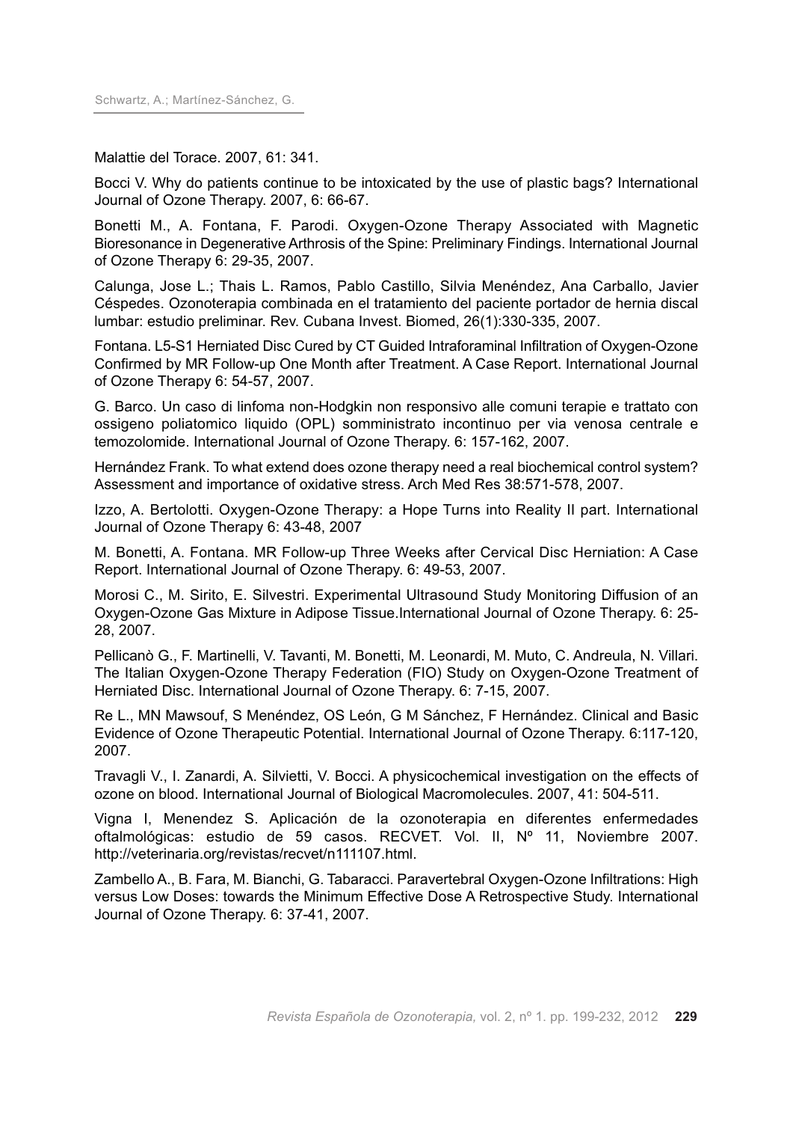Malattie del Torace. 2007, 61: 341.

Bocci V. Why do patients continue to be intoxicated by the use of plastic bags? International Journal of Ozone Therapy. 2007, 6: 66-67.

Bonetti M., A. Fontana, F. Parodi. Oxygen-Ozone Therapy Associated with Magnetic Bioresonance in Degenerative Arthrosis of the Spine: Preliminary Findings. International Journal of Ozone Therapy 6: 29-35, 2007.

Calunga, Jose L.; Thais L. Ramos, Pablo Castillo, Silvia Menéndez, Ana Carballo, Javier Céspedes. Ozonoterapia combinada en el tratamiento del paciente portador de hernia discal lumbar: estudio preliminar. Rev. Cubana Invest. Biomed, 26(1):330-335, 2007.

Fontana. L5-S1 Herniated Disc Cured by CT Guided Intraforaminal Infiltration of Oxygen-Ozone Confirmed by MR Follow-up One Month after Treatment. A Case Report. International Journal of Ozone Therapy 6: 54-57, 2007.

G. Barco. Un caso di linfoma non-Hodgkin non responsivo alle comuni terapie e trattato con ossigeno poliatomico liquido (OPL) somministrato incontinuo per via venosa centrale e temozolomide. International Journal of Ozone Therapy. 6: 157-162, 2007.

Hernández Frank. To what extend does ozone therapy need a real biochemical control system? Assessment and importance of oxidative stress. Arch Med Res 38:571-578, 2007.

Izzo, A. Bertolotti. Oxygen-Ozone Therapy: a Hope Turns into Reality II part. International Journal of Ozone Therapy 6: 43-48, 2007

M. Bonetti, A. Fontana. MR Follow-up Three Weeks after Cervical Disc Herniation: A Case Report. International Journal of Ozone Therapy. 6: 49-53, 2007.

Morosi C., M. Sirito, E. Silvestri. Experimental Ultrasound Study Monitoring Diffusion of an Oxygen-Ozone Gas Mixture in Adipose Tissue.International Journal of Ozone Therapy. 6: 25- 28, 2007.

Pellicanò G., F. Martinelli, V. Tavanti, M. Bonetti, M. Leonardi, M. Muto, C. Andreula, N. Villari. The Italian Oxygen-Ozone Therapy Federation (FIO) Study on Oxygen-Ozone Treatment of Herniated Disc. International Journal of Ozone Therapy. 6: 7-15, 2007.

Re L., MN Mawsouf, S Menéndez, OS León, G M Sánchez, F Hernández. Clinical and Basic Evidence of Ozone Therapeutic Potential. International Journal of Ozone Therapy. 6:117-120, 2007.

Travagli V., I. Zanardi, A. Silvietti, V. Bocci. A physicochemical investigation on the effects of ozone on blood. International Journal of Biological Macromolecules. 2007, 41: 504-511.

Vigna I, Menendez S. Aplicación de la ozonoterapia en diferentes enfermedades oftalmológicas: estudio de 59 casos. RECVET. Vol. II, Nº 11, Noviembre 2007. http://veterinaria.org/revistas/recvet/n111107.html.

Zambello A., B. Fara, M. Bianchi, G. Tabaracci. Paravertebral Oxygen-Ozone Infiltrations: High versus Low Doses: towards the Minimum Effective Dose A Retrospective Study. International Journal of Ozone Therapy. 6: 37-41, 2007.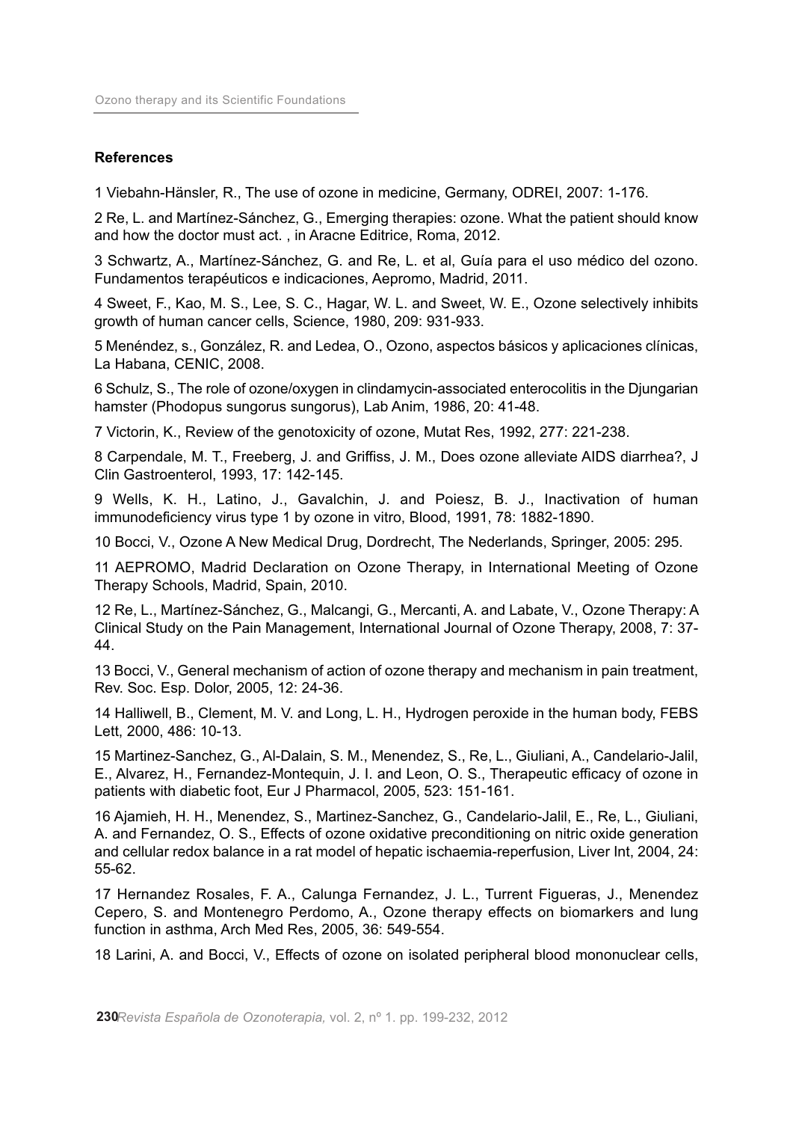#### **References**

1 Viebahn-Hänsler, R., The use of ozone in medicine, Germany, ODREI, 2007: 1-176.

2 Re, L. and Martínez-Sánchez, G., Emerging therapies: ozone. What the patient should know and how the doctor must act. , in Aracne Editrice, Roma, 2012.

3 Schwartz, A., Martínez-Sánchez, G. and Re, L. et al, Guía para el uso médico del ozono. Fundamentos terapéuticos e indicaciones, Aepromo, Madrid, 2011.

4 Sweet, F., Kao, M. S., Lee, S. C., Hagar, W. L. and Sweet, W. E., Ozone selectively inhibits growth of human cancer cells, Science, 1980, 209: 931-933.

5 Menéndez, s., González, R. and Ledea, O., Ozono, aspectos básicos y aplicaciones clínicas, La Habana, CENIC, 2008.

6 Schulz, S., The role of ozone/oxygen in clindamycin-associated enterocolitis in the Djungarian hamster (Phodopus sungorus sungorus), Lab Anim, 1986, 20: 41-48.

7 Victorin, K., Review of the genotoxicity of ozone, Mutat Res, 1992, 277: 221-238.

8 Carpendale, M. T., Freeberg, J. and Griffiss, J. M., Does ozone alleviate AIDS diarrhea?, J Clin Gastroenterol, 1993, 17: 142-145.

9 Wells, K. H., Latino, J., Gavalchin, J. and Poiesz, B. J., Inactivation of human immunodeficiency virus type 1 by ozone in vitro, Blood, 1991, 78: 1882-1890.

10 Bocci, V., Ozone A New Medical Drug, Dordrecht, The Nederlands, Springer, 2005: 295.

11 AEPROMO, Madrid Declaration on Ozone Therapy, in International Meeting of Ozone Therapy Schools, Madrid, Spain, 2010.

12 Re, L., Martínez-Sánchez, G., Malcangi, G., Mercanti, A. and Labate, V., Ozone Therapy: A Clinical Study on the Pain Management, International Journal of Ozone Therapy, 2008, 7: 37- 44.

13 Bocci, V., General mechanism of action of ozone therapy and mechanism in pain treatment, Rev. Soc. Esp. Dolor, 2005, 12: 24-36.

14 Halliwell, B., Clement, M. V. and Long, L. H., Hydrogen peroxide in the human body, FEBS Lett, 2000, 486: 10-13.

15 Martinez-Sanchez, G., Al-Dalain, S. M., Menendez, S., Re, L., Giuliani, A., Candelario-Jalil, E., Alvarez, H., Fernandez-Montequin, J. I. and Leon, O. S., Therapeutic efficacy of ozone in patients with diabetic foot, Eur J Pharmacol, 2005, 523: 151-161.

16 Ajamieh, H. H., Menendez, S., Martinez-Sanchez, G., Candelario-Jalil, E., Re, L., Giuliani, A. and Fernandez, O. S., Effects of ozone oxidative preconditioning on nitric oxide generation and cellular redox balance in a rat model of hepatic ischaemia-reperfusion, Liver Int, 2004, 24: 55-62.

17 Hernandez Rosales, F. A., Calunga Fernandez, J. L., Turrent Figueras, J., Menendez Cepero, S. and Montenegro Perdomo, A., Ozone therapy effects on biomarkers and lung function in asthma, Arch Med Res, 2005, 36: 549-554.

18 Larini, A. and Bocci, V., Effects of ozone on isolated peripheral blood mononuclear cells,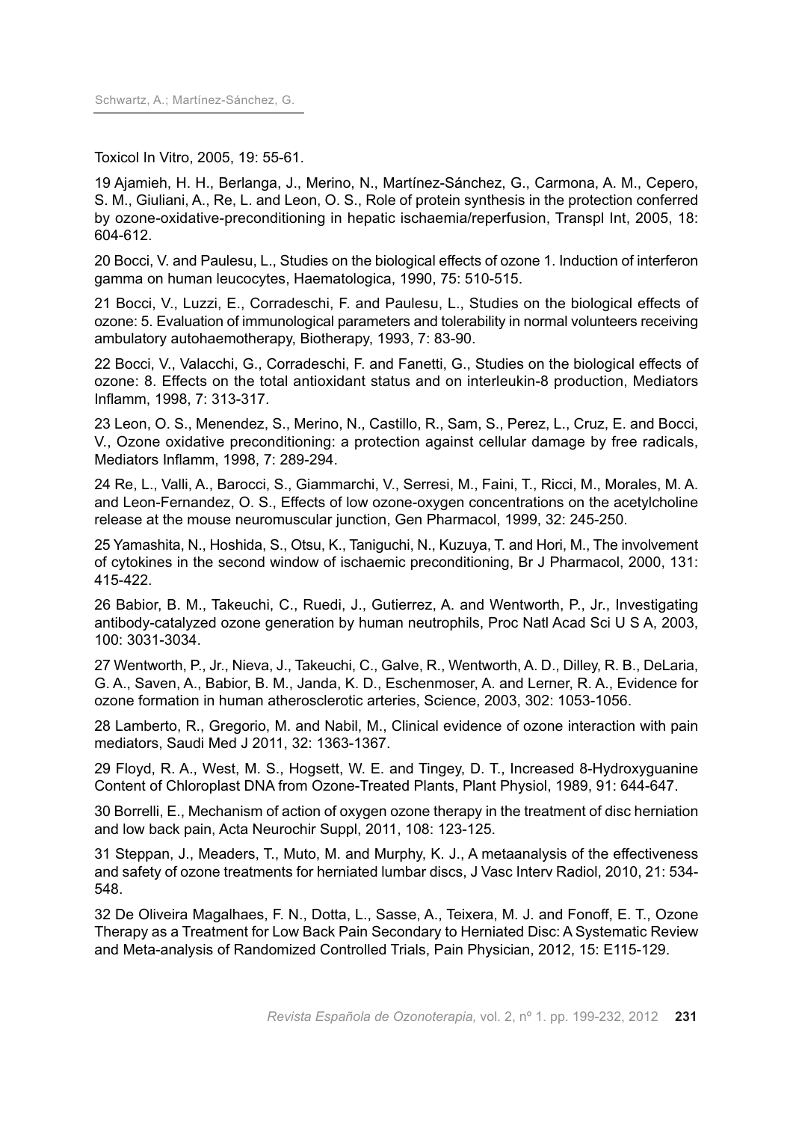Toxicol In Vitro, 2005, 19: 55-61.

19 Ajamieh, H. H., Berlanga, J., Merino, N., Martínez-Sánchez, G., Carmona, A. M., Cepero, S. M., Giuliani, A., Re, L. and Leon, O. S., Role of protein synthesis in the protection conferred by ozone-oxidative-preconditioning in hepatic ischaemia/reperfusion, Transpl Int, 2005, 18: 604-612.

20 Bocci, V. and Paulesu, L., Studies on the biological effects of ozone 1. Induction of interferon gamma on human leucocytes, Haematologica, 1990, 75: 510-515.

21 Bocci, V., Luzzi, E., Corradeschi, F. and Paulesu, L., Studies on the biological effects of ozone: 5. Evaluation of immunological parameters and tolerability in normal volunteers receiving ambulatory autohaemotherapy, Biotherapy, 1993, 7: 83-90.

22 Bocci, V., Valacchi, G., Corradeschi, F. and Fanetti, G., Studies on the biological effects of ozone: 8. Effects on the total antioxidant status and on interleukin-8 production, Mediators Inflamm, 1998, 7: 313-317.

23 Leon, O. S., Menendez, S., Merino, N., Castillo, R., Sam, S., Perez, L., Cruz, E. and Bocci, V., Ozone oxidative preconditioning: a protection against cellular damage by free radicals, Mediators Inflamm, 1998, 7: 289-294.

24 Re, L., Valli, A., Barocci, S., Giammarchi, V., Serresi, M., Faini, T., Ricci, M., Morales, M. A. and Leon-Fernandez, O. S., Effects of low ozone-oxygen concentrations on the acetylcholine release at the mouse neuromuscular junction, Gen Pharmacol, 1999, 32: 245-250.

25 Yamashita, N., Hoshida, S., Otsu, K., Taniguchi, N., Kuzuya, T. and Hori, M., The involvement of cytokines in the second window of ischaemic preconditioning, Br J Pharmacol, 2000, 131: 415-422.

26 Babior, B. M., Takeuchi, C., Ruedi, J., Gutierrez, A. and Wentworth, P., Jr., Investigating antibody-catalyzed ozone generation by human neutrophils, Proc Natl Acad Sci U S A, 2003, 100: 3031-3034.

27 Wentworth, P., Jr., Nieva, J., Takeuchi, C., Galve, R., Wentworth, A. D., Dilley, R. B., DeLaria, G. A., Saven, A., Babior, B. M., Janda, K. D., Eschenmoser, A. and Lerner, R. A., Evidence for ozone formation in human atherosclerotic arteries, Science, 2003, 302: 1053-1056.

28 Lamberto, R., Gregorio, M. and Nabil, M., Clinical evidence of ozone interaction with pain mediators, Saudi Med J 2011, 32: 1363-1367.

29 Floyd, R. A., West, M. S., Hogsett, W. E. and Tingey, D. T., Increased 8-Hydroxyguanine Content of Chloroplast DNA from Ozone-Treated Plants, Plant Physiol, 1989, 91: 644-647.

30 Borrelli, E., Mechanism of action of oxygen ozone therapy in the treatment of disc herniation and low back pain, Acta Neurochir Suppl, 2011, 108: 123-125.

31 Steppan, J., Meaders, T., Muto, M. and Murphy, K. J., A metaanalysis of the effectiveness and safety of ozone treatments for herniated lumbar discs, J Vasc Interv Radiol, 2010, 21: 534- 548.

32 De Oliveira Magalhaes, F. N., Dotta, L., Sasse, A., Teixera, M. J. and Fonoff, E. T., Ozone Therapy as a Treatment for Low Back Pain Secondary to Herniated Disc: A Systematic Review and Meta-analysis of Randomized Controlled Trials, Pain Physician, 2012, 15: E115-129.